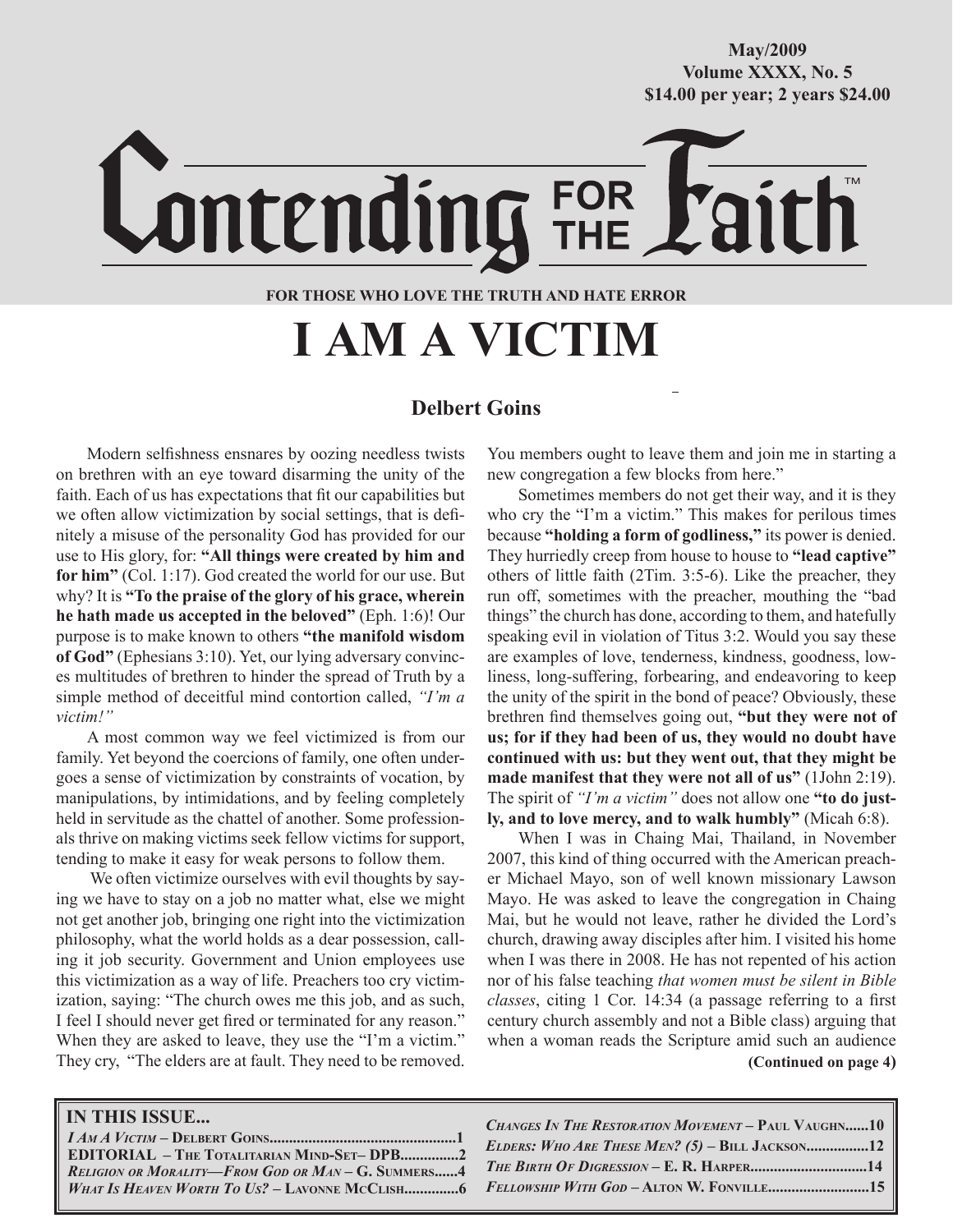# **October/2007 Volume XXXX, No. 5 Volume XXXVIII, No. 10 \$14.00 per year; 2 years \$24.00 \$14.00 per year; 2 years \$24.00 May/2009**

Lontending FOR **FOR THOSE WHO LOVE THE TRUTH AND HATE ERROR**

**I AM A VICTIM**

# **Delbert Goins**

Modern selfishness ensnares by oozing needless twists on brethren with an eye toward disarming the unity of the faith. Each of us has expectations that fit our capabilities but we often allow victimization by social settings, that is definitely a misuse of the personality God has provided for our use to His glory, for: **"All things were created by him and for him"** (Col. 1:17). God created the world for our use. But why? It is **"To the praise of the glory of his grace, wherein he hath made us accepted in the beloved"** (Eph. 1:6)! Our purpose is to make known to others **"the manifold wisdom of God"** (Ephesians 3:10). Yet, our lying adversary convinces multitudes of brethren to hinder the spread of Truth by a simple method of deceitful mind contortion called, *"I'm a victim!"*

A most common way we feel victimized is from our family. Yet beyond the coercions of family, one often undergoes a sense of victimization by constraints of vocation, by manipulations, by intimidations, and by feeling completely held in servitude as the chattel of another. Some professionals thrive on making victims seek fellow victims for support, tending to make it easy for weak persons to follow them.

 We often victimize ourselves with evil thoughts by saying we have to stay on a job no matter what, else we might not get another job, bringing one right into the victimization philosophy, what the world holds as a dear possession, calling it job security. Government and Union employees use this victimization as a way of life. Preachers too cry victimization, saying: "The church owes me this job, and as such, I feel I should never get fired or terminated for any reason." When they are asked to leave, they use the "I'm a victim." They cry, "The elders are at fault. They need to be removed.

You members ought to leave them and join me in starting a new congregation a few blocks from here."

Sometimes members do not get their way, and it is they who cry the "I'm a victim." This makes for perilous times because **"holding a form of godliness,"** its power is denied. They hurriedly creep from house to house to **"lead captive"** others of little faith (2Tim. 3:5-6). Like the preacher, they run off, sometimes with the preacher, mouthing the "bad things" the church has done, according to them, and hatefully speaking evil in violation of Titus 3:2. Would you say these are examples of love, tenderness, kindness, goodness, lowliness, long-suffering, forbearing, and endeavoring to keep the unity of the spirit in the bond of peace? Obviously, these brethren find themselves going out, **"but they were not of us; for if they had been of us, they would no doubt have continued with us: but they went out, that they might be made manifest that they were not all of us"** (1John 2:19). The spirit of *"I'm a victim"* does not allow one **"to do justly, and to love mercy, and to walk humbly"** (Micah 6:8).

 **(Continued on page 4)** When I was in Chaing Mai, Thailand, in November 2007, this kind of thing occurred with the American preacher Michael Mayo, son of well known missionary Lawson Mayo. He was asked to leave the congregation in Chaing Mai, but he would not leave, rather he divided the Lord's church, drawing away disciples after him. I visited his home when I was there in 2008. He has not repented of his action nor of his false teaching *that women must be silent in Bible classes*, citing 1 Cor. 14:34 (a passage referring to a first century church assembly and not a Bible class) arguing that when a woman reads the Scripture amid such an audience

**IN THIS ISSUE...** *I AM A VICTIM* **– DELBERT GOINS................................................1 EDITORIAL – THE TOTALITARIAN MIND-SET– DPB...............2** *RELIGION OR MORALITY—FROM GOD OR MAN* **– G. SUMMERS......4**  *WHAT IS HEAVEN WORTH TO US?* **– LAVONNE MCCLISH..............6** *CHANGES IN THE RESTORATION MOVEMENT* **– PAUL VAUGHN......10** *ELDERS: WHO ARE THESE MEN? (5)* **– BILL JACKSON................12** *THE BIRTH OF DIGRESSION* **– E. R. HARPER..............................14** *FELLOWSHIP WITH GOD* **– ALTON W. FONVILLE..........................15**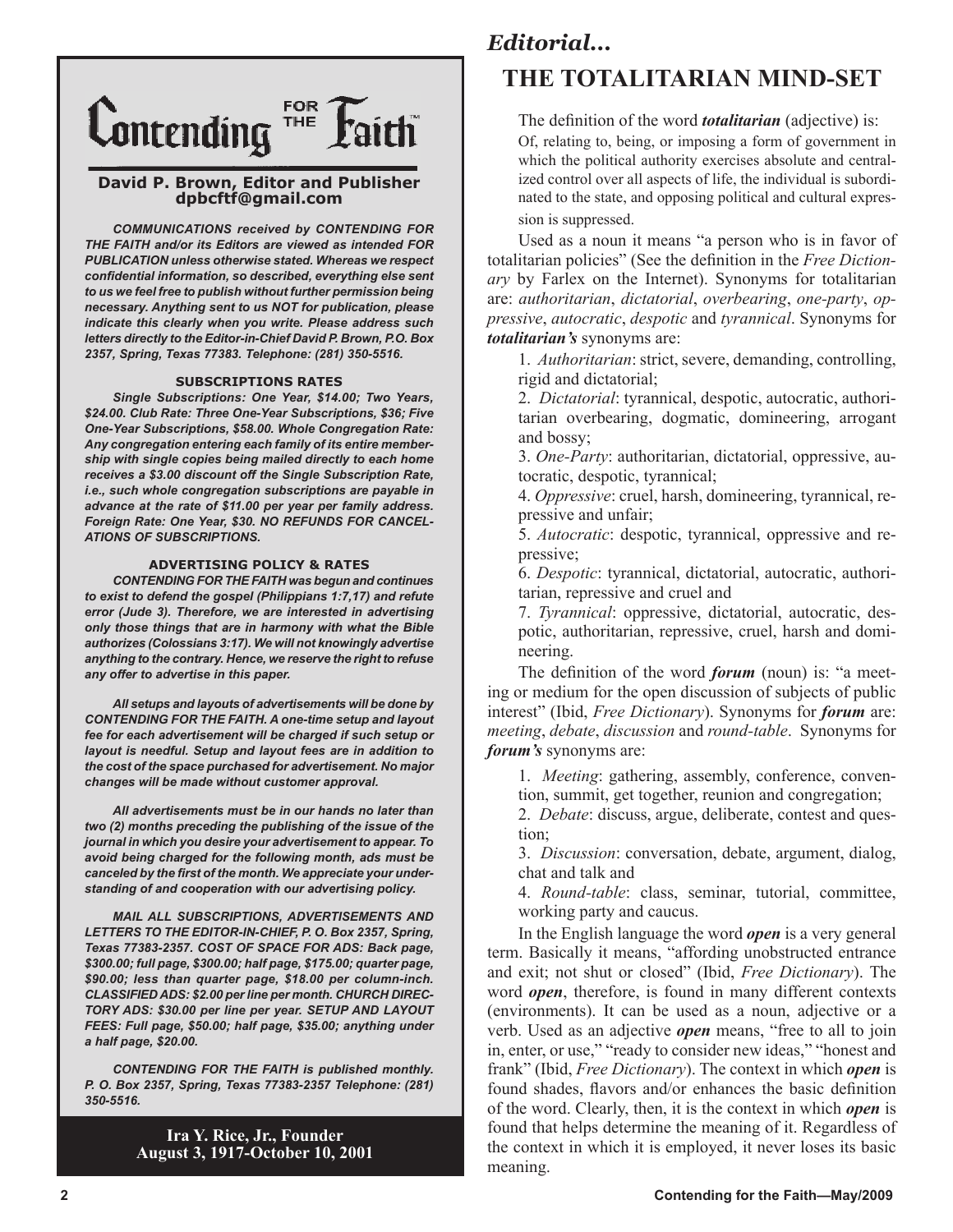

### **David P. Brown, Editor and Publisher dpbcftf@gmail.com**

*COMMUNICATIONS received by CONTENDING FOR THE FAITH and/or its Editors are viewed as intended FOR PUBLICATION unless otherwise stated. Whereas we respect confidential information, so described, everything else sent to us we feel free to publish without further permission being necessary. Anything sent to us NOT for publication, please indicate this clearly when you write. Please address such letters directly to the Editor-in-Chief David P. Brown, P.O. Box 2357, Spring, Texas 77383. Telephone: (281) 350-5516.*

#### **SUBSCRIPTIONS RATES**

*Single Subscriptions: One Year, \$14.00; Two Years, \$24.00. Club Rate: Three One-Year Subscriptions, \$36; Five One-Year Subscriptions, \$58.00. Whole Congregation Rate: Any congregation entering each family of its entire membership with single copies being mailed directly to each home receives a \$3.00 discount off the Single Subscription Rate, i.e., such whole congregation subscriptions are payable in advance at the rate of \$11.00 per year per family address. Foreign Rate: One Year, \$30. NO REFUNDS FOR CANCEL-ATIONS OF SUBSCRIPTIONS.*

#### **ADVERTISING POLICY & RATES**

*CONTENDING FOR THE FAITH was begun and continues to exist to defend the gospel (Philippians 1:7,17) and refute error (Jude 3). Therefore, we are interested in advertising only those things that are in harmony with what the Bible authorizes (Colossians 3:17). We will not knowingly advertise anything to the contrary. Hence, we reserve the right to refuse any offer to advertise in this paper.*

*All setups and layouts of advertisements will be done by CONTENDING FOR THE FAITH. A one-time setup and layout fee for each advertisement will be charged if such setup or layout is needful. Setup and layout fees are in addition to the cost of the space purchased for advertisement. No major changes will be made without customer approval.*

*All advertisements must be in our hands no later than two (2) months preceding the publishing of the issue of the journal in which you desire your advertisement to appear. To avoid being charged for the following month, ads must be canceled by the first of the month. We appreciate your understanding of and cooperation with our advertising policy.*

*MAIL ALL SUBSCRIPTIONS, ADVERTISEMENTS AND LETTERS TO THE EDITOR-IN-CHIEF, P. O. Box 2357, Spring, Texas 77383-2357. COST OF SPACE FOR ADS: Back page, \$300.00; full page, \$300.00; half page, \$175.00; quarter page, \$90.00; less than quarter page, \$18.00 per column-inch. CLASSIFIED ADS: \$2.00 per line per month. CHURCH DIREC-TORY ADS: \$30.00 per line per year. SETUP AND LAYOUT FEES: Full page, \$50.00; half page, \$35.00; anything under a half page, \$20.00.*

*CONTENDING FOR THE FAITH is published monthly. P. O. Box 2357, Spring, Texas 77383-2357 Telephone: (281) 350-5516.*

> **Ira Y. Rice, Jr., Founder August 3, 1917-October 10, 2001**

# *Editorial...* **THE TOTALITARIAN MIND-SET**

The definition of the word *totalitarian* (adjective) is:

Of, relating to, being, or imposing a form of government in which the political authority exercises absolute and centralized control over all aspects of life, the individual is subordinated to the state, and opposing political and cultural expression is suppressed.

Used as a noun it means "a person who is in favor of totalitarian policies" (See the definition in the *Free Dictionary* by Farlex on the Internet). Synonyms for totalitarian are: *authoritarian*, *dictatorial*, *overbearing*, *one-party*, *oppressive*, *autocratic*, *despotic* and *tyrannical*. Synonyms for *totalitarian's* synonyms are:

1. *Authoritarian*: strict, severe, demanding, controlling, rigid and dictatorial;

2. *Dictatorial*: tyrannical, despotic, autocratic, authoritarian overbearing, dogmatic, domineering, arrogant and bossy;

3. *One-Party*: authoritarian, dictatorial, oppressive, autocratic, despotic, tyrannical;

4. *Oppressive*: cruel, harsh, domineering, tyrannical, repressive and unfair;

5. *Autocratic*: despotic, tyrannical, oppressive and repressive;

6. *Despotic*: tyrannical, dictatorial, autocratic, authoritarian, repressive and cruel and

7. *Tyrannical*: oppressive, dictatorial, autocratic, despotic, authoritarian, repressive, cruel, harsh and domineering.

The definition of the word *forum* (noun) is: "a meeting or medium for the open discussion of subjects of public interest" (Ibid, *Free Dictionary*). Synonyms for *forum* are: *meeting*, *debate*, *discussion* and *round-table*. Synonyms for *forum's* synonyms are:

1. *Meeting*: gathering, assembly, conference, convention, summit, get together, reunion and congregation;

2. *Debate*: discuss, argue, deliberate, contest and question;

3. *Discussion*: conversation, debate, argument, dialog, chat and talk and

4. *Round-table*: class, seminar, tutorial, committee, working party and caucus.

In the English language the word *open* is a very general term. Basically it means, "affording unobstructed entrance and exit; not shut or closed" (Ibid, *Free Dictionary*). The word *open*, therefore, is found in many different contexts (environments). It can be used as a noun, adjective or a verb. Used as an adjective *open* means, "free to all to join in, enter, or use," "ready to consider new ideas," "honest and frank" (Ibid, *Free Dictionary*). The context in which *open* is found shades, flavors and/or enhances the basic definition of the word. Clearly, then, it is the context in which *open* is found that helps determine the meaning of it. Regardless of the context in which it is employed, it never loses its basic meaning.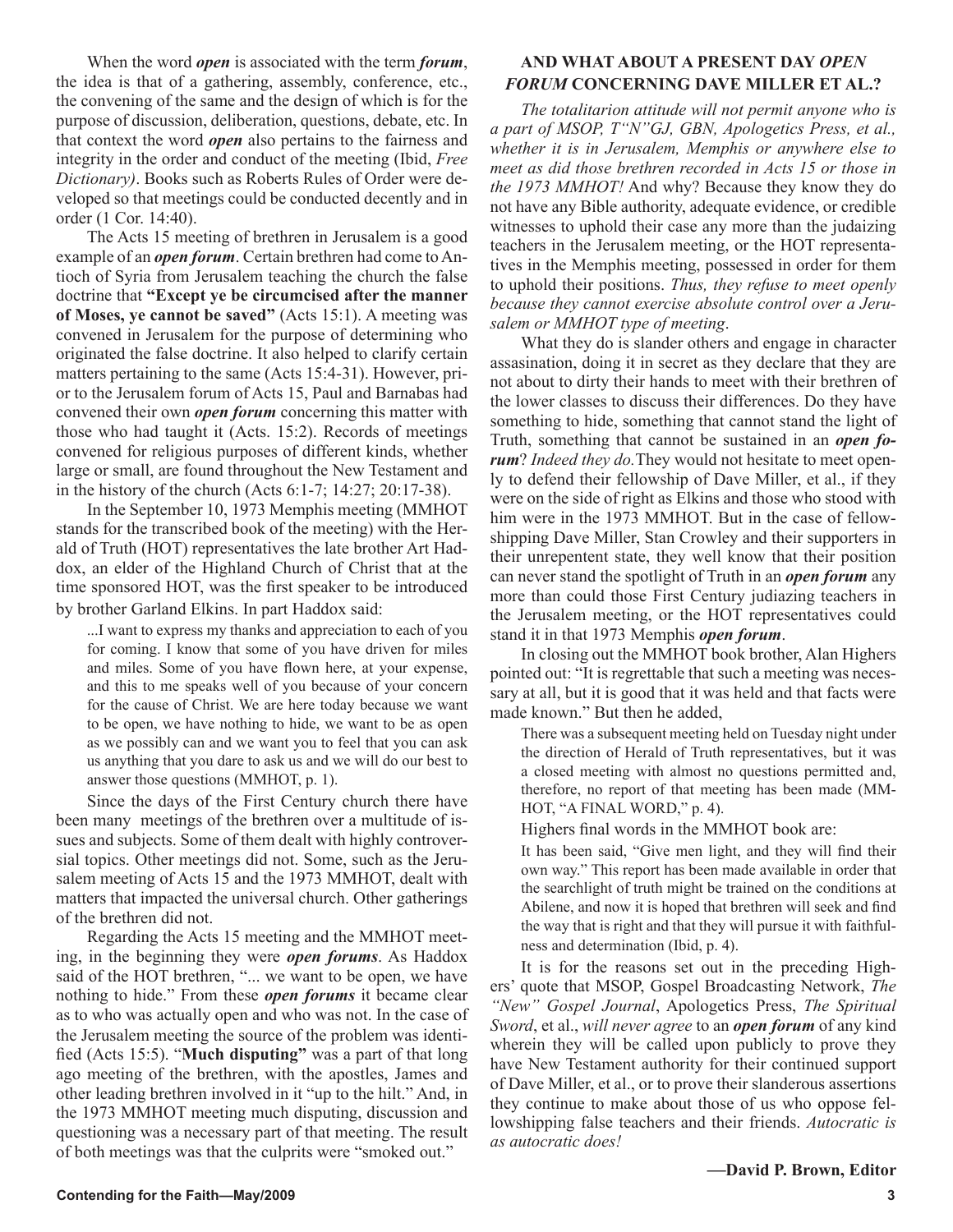When the word *open* is associated with the term *forum*, the idea is that of a gathering, assembly, conference, etc., the convening of the same and the design of which is for the purpose of discussion, deliberation, questions, debate, etc. In that context the word *open* also pertains to the fairness and integrity in the order and conduct of the meeting (Ibid, *Free Dictionary)*. Books such as Roberts Rules of Order were developed so that meetings could be conducted decently and in order (1 Cor. 14:40).

The Acts 15 meeting of brethren in Jerusalem is a good example of an *open forum*. Certain brethren had come to Antioch of Syria from Jerusalem teaching the church the false doctrine that **"Except ye be circumcised after the manner of Moses, ye cannot be saved"** (Acts 15:1). A meeting was convened in Jerusalem for the purpose of determining who originated the false doctrine. It also helped to clarify certain matters pertaining to the same (Acts 15:4-31). However, prior to the Jerusalem forum of Acts 15, Paul and Barnabas had convened their own *open forum* concerning this matter with those who had taught it (Acts. 15:2). Records of meetings convened for religious purposes of different kinds, whether large or small, are found throughout the New Testament and in the history of the church (Acts 6:1-7; 14:27; 20:17-38).

In the September 10, 1973 Memphis meeting (MMHOT stands for the transcribed book of the meeting) with the Herald of Truth (HOT) representatives the late brother Art Haddox, an elder of the Highland Church of Christ that at the time sponsored HOT, was the first speaker to be introduced by brother Garland Elkins. In part Haddox said:

...I want to express my thanks and appreciation to each of you for coming. I know that some of you have driven for miles and miles. Some of you have flown here, at your expense, and this to me speaks well of you because of your concern for the cause of Christ. We are here today because we want to be open, we have nothing to hide, we want to be as open as we possibly can and we want you to feel that you can ask us anything that you dare to ask us and we will do our best to answer those questions (MMHOT, p. 1).

Since the days of the First Century church there have been many meetings of the brethren over a multitude of issues and subjects. Some of them dealt with highly controversial topics. Other meetings did not. Some, such as the Jerusalem meeting of Acts 15 and the 1973 MMHOT, dealt with matters that impacted the universal church. Other gatherings of the brethren did not.

Regarding the Acts 15 meeting and the MMHOT meeting, in the beginning they were *open forums*. As Haddox said of the HOT brethren, "... we want to be open, we have nothing to hide." From these *open forums* it became clear as to who was actually open and who was not. In the case of the Jerusalem meeting the source of the problem was identified (Acts 15:5). "**Much disputing"** was a part of that long ago meeting of the brethren, with the apostles, James and other leading brethren involved in it "up to the hilt." And, in the 1973 MMHOT meeting much disputing, discussion and questioning was a necessary part of that meeting. The result of both meetings was that the culprits were "smoked out."

# **AND WHAT ABOUT A PRESENT DAY** *OPEN FORUM* **CONCERNING DAVE MILLER ET AL.?**

*The totalitarion attitude will not permit anyone who is a part of MSOP, T"N"GJ, GBN, Apologetics Press, et al., whether it is in Jerusalem, Memphis or anywhere else to meet as did those brethren recorded in Acts 15 or those in the 1973 MMHOT!* And why? Because they know they do not have any Bible authority, adequate evidence, or credible witnesses to uphold their case any more than the judaizing teachers in the Jerusalem meeting, or the HOT representatives in the Memphis meeting, possessed in order for them to uphold their positions. *Thus, they refuse to meet openly because they cannot exercise absolute control over a Jerusalem or MMHOT type of meeting*.

What they do is slander others and engage in character assasination, doing it in secret as they declare that they are not about to dirty their hands to meet with their brethren of the lower classes to discuss their differences. Do they have something to hide, something that cannot stand the light of Truth, something that cannot be sustained in an *open forum*? *Indeed they do.*They would not hesitate to meet openly to defend their fellowship of Dave Miller, et al., if they were on the side of right as Elkins and those who stood with him were in the 1973 MMHOT. But in the case of fellowshipping Dave Miller, Stan Crowley and their supporters in their unrepentent state, they well know that their position can never stand the spotlight of Truth in an *open forum* any more than could those First Century judiazing teachers in the Jerusalem meeting, or the HOT representatives could stand it in that 1973 Memphis *open forum*.

In closing out the MMHOT book brother, Alan Highers pointed out: "It is regrettable that such a meeting was necessary at all, but it is good that it was held and that facts were made known." But then he added,

There was a subsequent meeting held on Tuesday night under the direction of Herald of Truth representatives, but it was a closed meeting with almost no questions permitted and, therefore, no report of that meeting has been made (MM-HOT, "A FINAL WORD," p. 4).

Highers final words in the MMHOT book are:

It has been said, "Give men light, and they will find their own way." This report has been made available in order that the searchlight of truth might be trained on the conditions at Abilene, and now it is hoped that brethren will seek and find the way that is right and that they will pursue it with faithfulness and determination (Ibid, p. 4).

It is for the reasons set out in the preceding Highers' quote that MSOP, Gospel Broadcasting Network, *The "New" Gospel Journal*, Apologetics Press, *The Spiritual Sword*, et al., *will never agree* to an *open forum* of any kind wherein they will be called upon publicly to prove they have New Testament authority for their continued support of Dave Miller, et al., or to prove their slanderous assertions they continue to make about those of us who oppose fellowshipping false teachers and their friends. *Autocratic is as autocratic does!*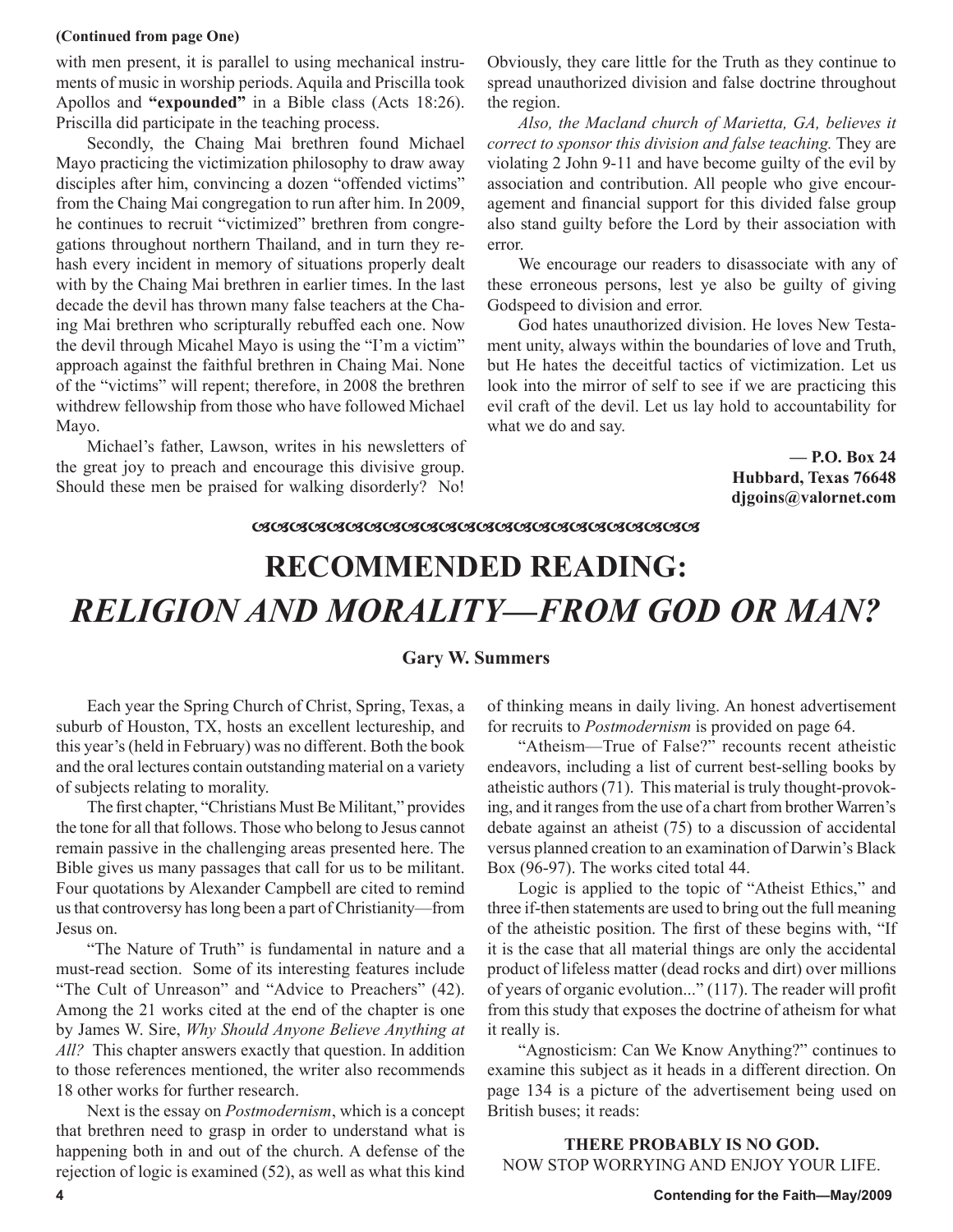#### **(Continued from page One)**

with men present, it is parallel to using mechanical instruments of music in worship periods. Aquila and Priscilla took Apollos and **"expounded"** in a Bible class (Acts 18:26). Priscilla did participate in the teaching process.

Secondly, the Chaing Mai brethren found Michael Mayo practicing the victimization philosophy to draw away disciples after him, convincing a dozen "offended victims" from the Chaing Mai congregation to run after him. In 2009, he continues to recruit "victimized" brethren from congregations throughout northern Thailand, and in turn they rehash every incident in memory of situations properly dealt with by the Chaing Mai brethren in earlier times. In the last decade the devil has thrown many false teachers at the Chaing Mai brethren who scripturally rebuffed each one. Now the devil through Micahel Mayo is using the "I'm a victim" approach against the faithful brethren in Chaing Mai. None of the "victims" will repent; therefore, in 2008 the brethren withdrew fellowship from those who have followed Michael Mayo.

Michael's father, Lawson, writes in his newsletters of the great joy to preach and encourage this divisive group. Should these men be praised for walking disorderly? No! Obviously, they care little for the Truth as they continue to spread unauthorized division and false doctrine throughout the region.

*Also, the Macland church of Marietta, GA, believes it correct to sponsor this division and false teaching.* They are violating 2 John 9-11 and have become guilty of the evil by association and contribution. All people who give encouragement and financial support for this divided false group also stand guilty before the Lord by their association with error.

We encourage our readers to disassociate with any of these erroneous persons, lest ye also be guilty of giving Godspeed to division and error.

God hates unauthorized division. He loves New Testament unity, always within the boundaries of love and Truth, but He hates the deceitful tactics of victimization. Let us look into the mirror of self to see if we are practicing this evil craft of the devil. Let us lay hold to accountability for what we do and say.

> **— P.O. Box 24 Hubbard, Texas 76648 djgoins@valornet.com**

### 

# **RECOMMENDED READING:** *RELIGION AND MORALITY—FROM GOD OR MAN?*

# **Gary W. Summers**

Each year the Spring Church of Christ, Spring, Texas, a suburb of Houston, TX, hosts an excellent lectureship, and this year's (held in February) was no different. Both the book and the oral lectures contain outstanding material on a variety of subjects relating to morality.

The first chapter, "Christians Must Be Militant," provides the tone for all that follows. Those who belong to Jesus cannot remain passive in the challenging areas presented here. The Bible gives us many passages that call for us to be militant. Four quotations by Alexander Campbell are cited to remind us that controversy has long been a part of Christianity—from Jesus on.

"The Nature of Truth" is fundamental in nature and a must-read section. Some of its interesting features include "The Cult of Unreason" and "Advice to Preachers" (42). Among the 21 works cited at the end of the chapter is one by James W. Sire, *Why Should Anyone Believe Anything at All?* This chapter answers exactly that question. In addition to those references mentioned, the writer also recommends 18 other works for further research.

Next is the essay on *Postmodernism*, which is a concept that brethren need to grasp in order to understand what is happening both in and out of the church. A defense of the rejection of logic is examined (52), as well as what this kind of thinking means in daily living. An honest advertisement for recruits to *Postmodernism* is provided on page 64.

"Atheism—True of False?" recounts recent atheistic endeavors, including a list of current best-selling books by atheistic authors (71). This material is truly thought-provoking, and it ranges from the use of a chart from brother Warren's debate against an atheist (75) to a discussion of accidental versus planned creation to an examination of Darwin's Black Box (96-97). The works cited total 44.

Logic is applied to the topic of "Atheist Ethics," and three if-then statements are used to bring out the full meaning of the atheistic position. The first of these begins with, "If it is the case that all material things are only the accidental product of lifeless matter (dead rocks and dirt) over millions of years of organic evolution..." (117). The reader will profit from this study that exposes the doctrine of atheism for what it really is.

"Agnosticism: Can We Know Anything?" continues to examine this subject as it heads in a different direction. On page 134 is a picture of the advertisement being used on British buses; it reads:

**THERE PROBABLY IS NO GOD.** NOW STOP WORRYING AND ENJOY YOUR LIFE.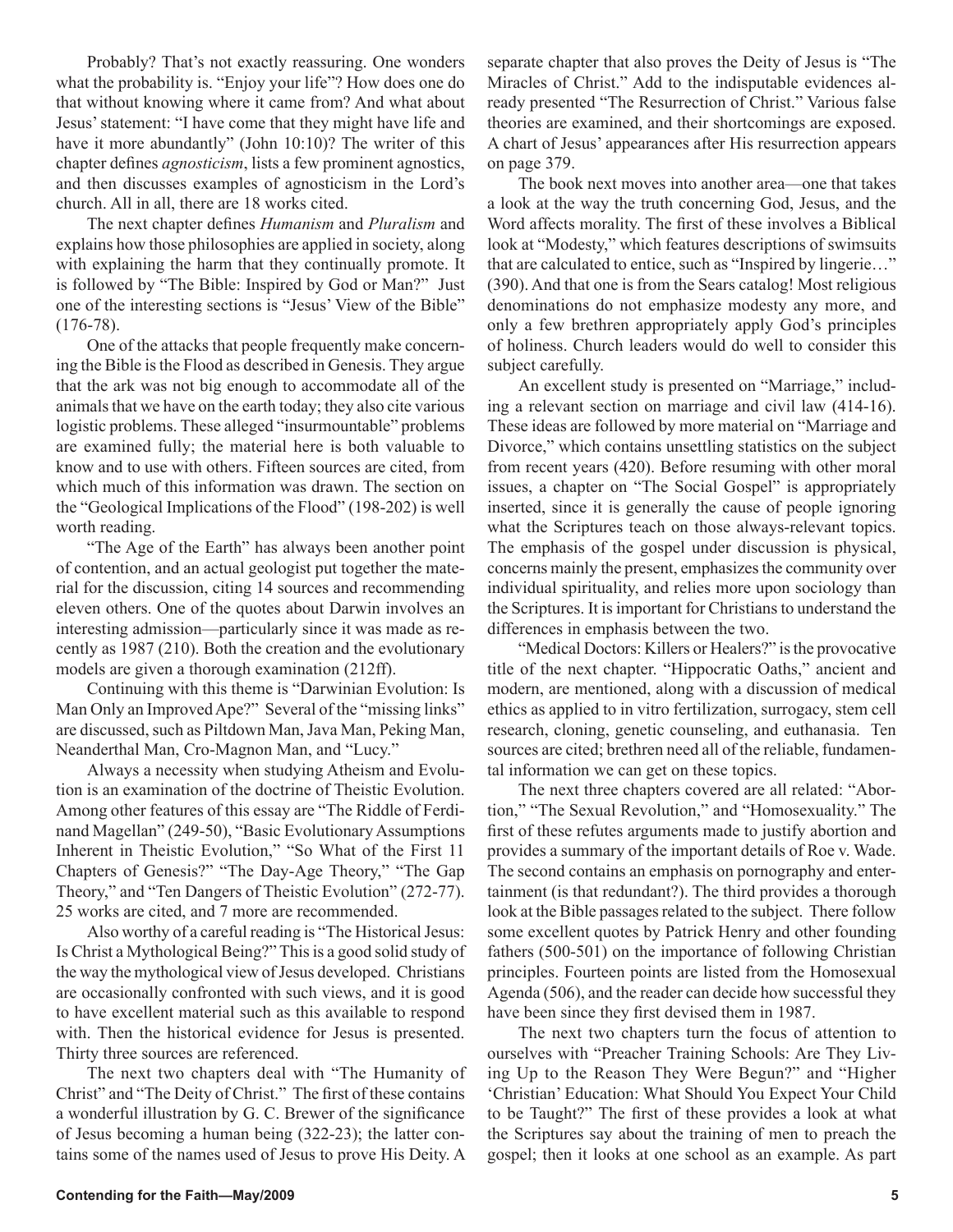Probably? That's not exactly reassuring. One wonders what the probability is. "Enjoy your life"? How does one do that without knowing where it came from? And what about Jesus' statement: "I have come that they might have life and have it more abundantly" (John 10:10)? The writer of this chapter defines *agnosticism*, lists a few prominent agnostics, and then discusses examples of agnosticism in the Lord's church. All in all, there are 18 works cited.

The next chapter defines *Humanism* and *Pluralism* and explains how those philosophies are applied in society, along with explaining the harm that they continually promote. It is followed by "The Bible: Inspired by God or Man?" Just one of the interesting sections is "Jesus' View of the Bible" (176-78).

One of the attacks that people frequently make concerning the Bible is the Flood as described in Genesis. They argue that the ark was not big enough to accommodate all of the animals that we have on the earth today; they also cite various logistic problems. These alleged "insurmountable" problems are examined fully; the material here is both valuable to know and to use with others. Fifteen sources are cited, from which much of this information was drawn. The section on the "Geological Implications of the Flood" (198-202) is well worth reading.

"The Age of the Earth" has always been another point of contention, and an actual geologist put together the material for the discussion, citing 14 sources and recommending eleven others. One of the quotes about Darwin involves an interesting admission—particularly since it was made as recently as 1987 (210). Both the creation and the evolutionary models are given a thorough examination (212ff).

Continuing with this theme is "Darwinian Evolution: Is Man Only an Improved Ape?" Several of the "missing links" are discussed, such as Piltdown Man, Java Man, Peking Man, Neanderthal Man, Cro-Magnon Man, and "Lucy."

Always a necessity when studying Atheism and Evolution is an examination of the doctrine of Theistic Evolution. Among other features of this essay are "The Riddle of Ferdinand Magellan" (249-50), "Basic Evolutionary Assumptions Inherent in Theistic Evolution," "So What of the First 11 Chapters of Genesis?" "The Day-Age Theory," "The Gap Theory," and "Ten Dangers of Theistic Evolution" (272-77). 25 works are cited, and 7 more are recommended.

Also worthy of a careful reading is "The Historical Jesus: Is Christ a Mythological Being?" This is a good solid study of the way the mythological view of Jesus developed. Christians are occasionally confronted with such views, and it is good to have excellent material such as this available to respond with. Then the historical evidence for Jesus is presented. Thirty three sources are referenced.

The next two chapters deal with "The Humanity of Christ" and "The Deity of Christ." The first of these contains a wonderful illustration by G. C. Brewer of the significance of Jesus becoming a human being (322-23); the latter contains some of the names used of Jesus to prove His Deity. A separate chapter that also proves the Deity of Jesus is "The Miracles of Christ." Add to the indisputable evidences already presented "The Resurrection of Christ." Various false theories are examined, and their shortcomings are exposed. A chart of Jesus' appearances after His resurrection appears on page 379.

The book next moves into another area—one that takes a look at the way the truth concerning God, Jesus, and the Word affects morality. The first of these involves a Biblical look at "Modesty," which features descriptions of swimsuits that are calculated to entice, such as "Inspired by lingerie…" (390). And that one is from the Sears catalog! Most religious denominations do not emphasize modesty any more, and only a few brethren appropriately apply God's principles of holiness. Church leaders would do well to consider this subject carefully.

An excellent study is presented on "Marriage," including a relevant section on marriage and civil law (414-16). These ideas are followed by more material on "Marriage and Divorce," which contains unsettling statistics on the subject from recent years (420). Before resuming with other moral issues, a chapter on "The Social Gospel" is appropriately inserted, since it is generally the cause of people ignoring what the Scriptures teach on those always-relevant topics. The emphasis of the gospel under discussion is physical, concerns mainly the present, emphasizes the community over individual spirituality, and relies more upon sociology than the Scriptures. It is important for Christians to understand the differences in emphasis between the two.

"Medical Doctors: Killers or Healers?" is the provocative title of the next chapter. "Hippocratic Oaths," ancient and modern, are mentioned, along with a discussion of medical ethics as applied to in vitro fertilization, surrogacy, stem cell research, cloning, genetic counseling, and euthanasia. Ten sources are cited; brethren need all of the reliable, fundamental information we can get on these topics.

The next three chapters covered are all related: "Abortion," "The Sexual Revolution," and "Homosexuality." The first of these refutes arguments made to justify abortion and provides a summary of the important details of Roe v. Wade. The second contains an emphasis on pornography and entertainment (is that redundant?). The third provides a thorough look at the Bible passages related to the subject. There follow some excellent quotes by Patrick Henry and other founding fathers (500-501) on the importance of following Christian principles. Fourteen points are listed from the Homosexual Agenda (506), and the reader can decide how successful they have been since they first devised them in 1987.

The next two chapters turn the focus of attention to ourselves with "Preacher Training Schools: Are They Living Up to the Reason They Were Begun?" and "Higher 'Christian' Education: What Should You Expect Your Child to be Taught?" The first of these provides a look at what the Scriptures say about the training of men to preach the gospel; then it looks at one school as an example. As part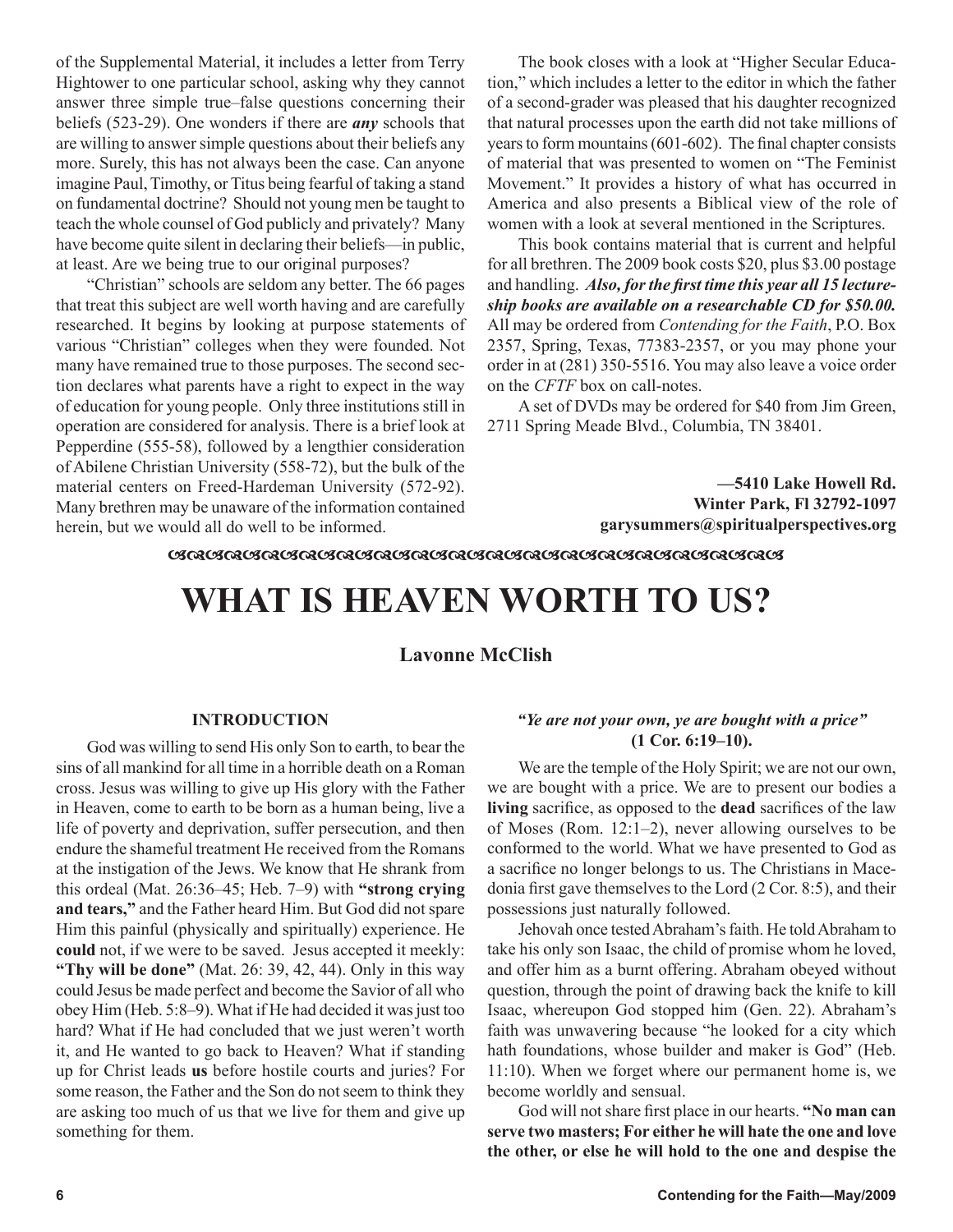of the Supplemental Material, it includes a letter from Terry Hightower to one particular school, asking why they cannot answer three simple true–false questions concerning their beliefs (523-29). One wonders if there are *any* schools that are willing to answer simple questions about their beliefs any more. Surely, this has not always been the case. Can anyone imagine Paul, Timothy, or Titus being fearful of taking a stand on fundamental doctrine? Should not young men be taught to teach the whole counsel of God publicly and privately? Many have become quite silent in declaring their beliefs—in public, at least. Are we being true to our original purposes?

"Christian" schools are seldom any better. The 66 pages that treat this subject are well worth having and are carefully researched. It begins by looking at purpose statements of various "Christian" colleges when they were founded. Not many have remained true to those purposes. The second section declares what parents have a right to expect in the way of education for young people. Only three institutions still in operation are considered for analysis. There is a brief look at Pepperdine (555-58), followed by a lengthier consideration of Abilene Christian University (558-72), but the bulk of the material centers on Freed-Hardeman University (572-92). Many brethren may be unaware of the information contained herein, but we would all do well to be informed.

The book closes with a look at "Higher Secular Education," which includes a letter to the editor in which the father of a second-grader was pleased that his daughter recognized that natural processes upon the earth did not take millions of years to form mountains (601-602). The final chapter consists of material that was presented to women on "The Feminist Movement." It provides a history of what has occurred in America and also presents a Biblical view of the role of women with a look at several mentioned in the Scriptures.

This book contains material that is current and helpful for all brethren. The 2009 book costs \$20, plus \$3.00 postage and handling. *Also, for the first time this year all 15 lectureship books are available on a researchable CD for \$50.00.* All may be ordered from *Contending for the Faith*, P.O. Box 2357, Spring, Texas, 77383-2357, or you may phone your order in at (281) 350-5516. You may also leave a voice order on the *CFTF* box on call-notes.

A set of DVDs may be ordered for \$40 from Jim Green, 2711 Spring Meade Blvd., Columbia, TN 38401.

> **—5410 Lake Howell Rd. Winter Park, Fl 32792-1097 garysummers@spiritualperspectives.org**

<u>ଊ୴ଌ୴ଌ୴ଌ୴ଌ୴ଌ୴ଌ୴ଌ୴ଌ୴ଌ୴ଌ୴ଌ୴ଌ୴ଌ୴ଌ୴ଌ୴ଌ୴ଌ୴ଌ</u>

# **WHAT IS HEAVEN WORTH TO US?**

**Lavonne McClish**

### **INTRODUCTION**

God was willing to send His only Son to earth, to bear the sins of all mankind for all time in a horrible death on a Roman cross. Jesus was willing to give up His glory with the Father in Heaven, come to earth to be born as a human being, live a life of poverty and deprivation, suffer persecution, and then endure the shameful treatment He received from the Romans at the instigation of the Jews. We know that He shrank from this ordeal (Mat. 26:36–45; Heb. 7–9) with **"strong crying and tears,"** and the Father heard Him. But God did not spare Him this painful (physically and spiritually) experience. He **could** not, if we were to be saved. Jesus accepted it meekly: **"Thy will be done"** (Mat. 26: 39, 42, 44). Only in this way could Jesus be made perfect and become the Savior of all who obey Him (Heb. 5:8–9). What if He had decided it was just too hard? What if He had concluded that we just weren't worth it, and He wanted to go back to Heaven? What if standing up for Christ leads **us** before hostile courts and juries? For some reason, the Father and the Son do not seem to think they are asking too much of us that we live for them and give up something for them.

## *"Ye are not your own, ye are bought with a price"* **(1 Cor. 6:19–10).**

We are the temple of the Holy Spirit; we are not our own, we are bought with a price. We are to present our bodies a **living** sacrifice, as opposed to the **dead** sacrifices of the law of Moses (Rom. 12:1–2), never allowing ourselves to be conformed to the world. What we have presented to God as a sacrifice no longer belongs to us. The Christians in Macedonia first gave themselves to the Lord (2 Cor. 8:5), and their possessions just naturally followed.

Jehovah once tested Abraham's faith. He told Abraham to take his only son Isaac, the child of promise whom he loved, and offer him as a burnt offering. Abraham obeyed without question, through the point of drawing back the knife to kill Isaac, whereupon God stopped him (Gen. 22). Abraham's faith was unwavering because "he looked for a city which hath foundations, whose builder and maker is God" (Heb. 11:10). When we forget where our permanent home is, we become worldly and sensual.

God will not share first place in our hearts. **"No man can serve two masters; For either he will hate the one and love the other, or else he will hold to the one and despise the**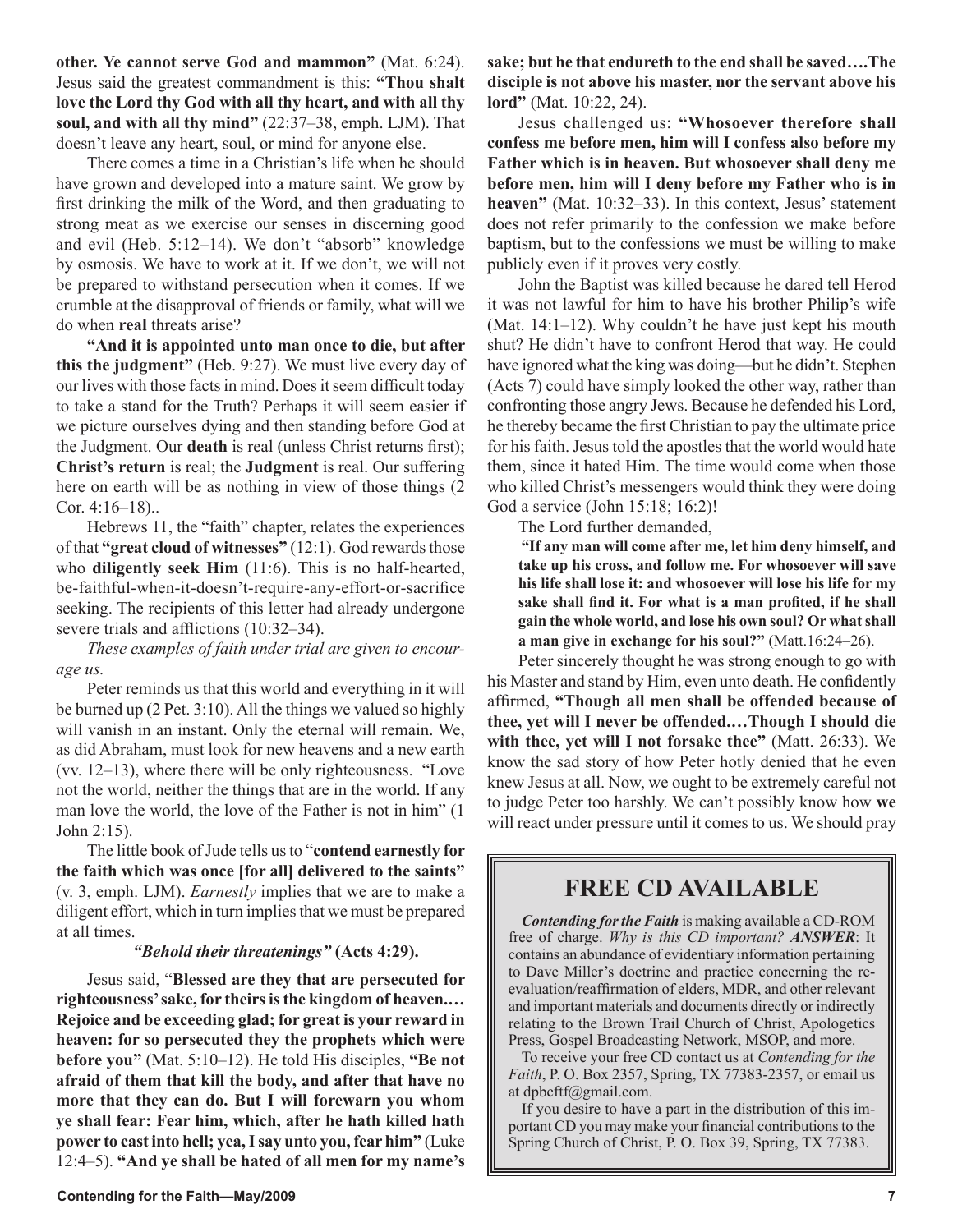**other. Ye cannot serve God and mammon"** (Mat. 6:24). Jesus said the greatest commandment is this: **"Thou shalt love the Lord thy God with all thy heart, and with all thy soul, and with all thy mind"** (22:37–38, emph. LJM). That doesn't leave any heart, soul, or mind for anyone else.

There comes a time in a Christian's life when he should have grown and developed into a mature saint. We grow by first drinking the milk of the Word, and then graduating to strong meat as we exercise our senses in discerning good and evil (Heb. 5:12–14). We don't "absorb" knowledge by osmosis. We have to work at it. If we don't, we will not be prepared to withstand persecution when it comes. If we crumble at the disapproval of friends or family, what will we do when **real** threats arise?

**"And it is appointed unto man once to die, but after this the judgment"** (Heb. 9:27). We must live every day of our lives with those facts in mind. Does it seem difficult today to take a stand for the Truth? Perhaps it will seem easier if we picture ourselves dying and then standing before God at the Judgment. Our **death** is real (unless Christ returns first); **Christ's return** is real; the **Judgment** is real. Our suffering here on earth will be as nothing in view of those things (2 Cor. 4:16–18)..

Hebrews 11, the "faith" chapter, relates the experiences of that **"great cloud of witnesses"** (12:1). God rewards those who **diligently seek Him** (11:6). This is no half-hearted, be-faithful-when-it-doesn't-require-any-effort-or-sacrifice seeking. The recipients of this letter had already undergone severe trials and afflictions (10:32–34).

*These examples of faith under trial are given to encourage us.* 

Peter reminds us that this world and everything in it will be burned up (2 Pet. 3:10). All the things we valued so highly will vanish in an instant. Only the eternal will remain. We, as did Abraham, must look for new heavens and a new earth (vv. 12–13), where there will be only righteousness. "Love not the world, neither the things that are in the world. If any man love the world, the love of the Father is not in him" (1 John 2:15).

The little book of Jude tells us to "**contend earnestly for the faith which was once [for all] delivered to the saints"** (v. 3, emph. LJM). *Earnestly* implies that we are to make a diligent effort, which in turn implies that we must be prepared at all times.

### *"Behold their threatenings"* **(Acts 4:29).**

Jesus said, "**Blessed are they that are persecuted for righteousness' sake, for theirs is the kingdom of heaven.… Rejoice and be exceeding glad; for great is your reward in heaven: for so persecuted they the prophets which were before you"** (Mat. 5:10–12). He told His disciples, **"Be not afraid of them that kill the body, and after that have no more that they can do. But I will forewarn you whom ye shall fear: Fear him, which, after he hath killed hath power to cast into hell; yea, I say unto you, fear him"** (Luke 12:4–5). **"And ye shall be hated of all men for my name's**  **sake; but he that endureth to the end shall be saved….The disciple is not above his master, nor the servant above his lord"** (Mat. 10:22, 24).

Jesus challenged us: **"Whosoever therefore shall confess me before men, him will I confess also before my Father which is in heaven. But whosoever shall deny me before men, him will I deny before my Father who is in heaven"** (Mat. 10:32–33). In this context, Jesus' statement does not refer primarily to the confession we make before baptism, but to the confessions we must be willing to make publicly even if it proves very costly.

John the Baptist was killed because he dared tell Herod it was not lawful for him to have his brother Philip's wife (Mat. 14:1–12). Why couldn't he have just kept his mouth shut? He didn't have to confront Herod that way. He could have ignored what the king was doing—but he didn't. Stephen (Acts 7) could have simply looked the other way, rather than confronting those angry Jews. Because he defended his Lord, he thereby became the first Christian to pay the ultimate price for his faith. Jesus told the apostles that the world would hate them, since it hated Him. The time would come when those who killed Christ's messengers would think they were doing God a service (John 15:18; 16:2)!

The Lord further demanded,

**"If any man will come after me, let him deny himself, and take up his cross, and follow me. For whosoever will save his life shall lose it: and whosoever will lose his life for my sake shall find it. For what is a man profited, if he shall gain the whole world, and lose his own soul? Or what shall a man give in exchange for his soul?"** (Matt.16:24–26).

Peter sincerely thought he was strong enough to go with his Master and stand by Him, even unto death. He confidently affirmed, **"Though all men shall be offended because of thee, yet will I never be offended.…Though I should die with thee, yet will I not forsake thee"** (Matt. 26:33). We know the sad story of how Peter hotly denied that he even knew Jesus at all. Now, we ought to be extremely careful not to judge Peter too harshly. We can't possibly know how **we** will react under pressure until it comes to us. We should pray

# **FREE CD AVAILABLE**

*Contending for the Faith* is making available a CD-ROM free of charge. *Why is this CD important? ANSWER*: It contains an abundance of evidentiary information pertaining to Dave Miller's doctrine and practice concerning the reevaluation/reaffirmation of elders, MDR, and other relevant and important materials and documents directly or indirectly relating to the Brown Trail Church of Christ, Apologetics Press, Gospel Broadcasting Network, MSOP, and more.

To receive your free CD contact us at *Contending for the Faith*, P. O. Box 2357, Spring, TX 77383-2357, or email us at dpbcftf@gmail.com.

If you desire to have a part in the distribution of this important CD you may make your financial contributions to the Spring Church of Christ, P. O. Box 39, Spring, TX 77383.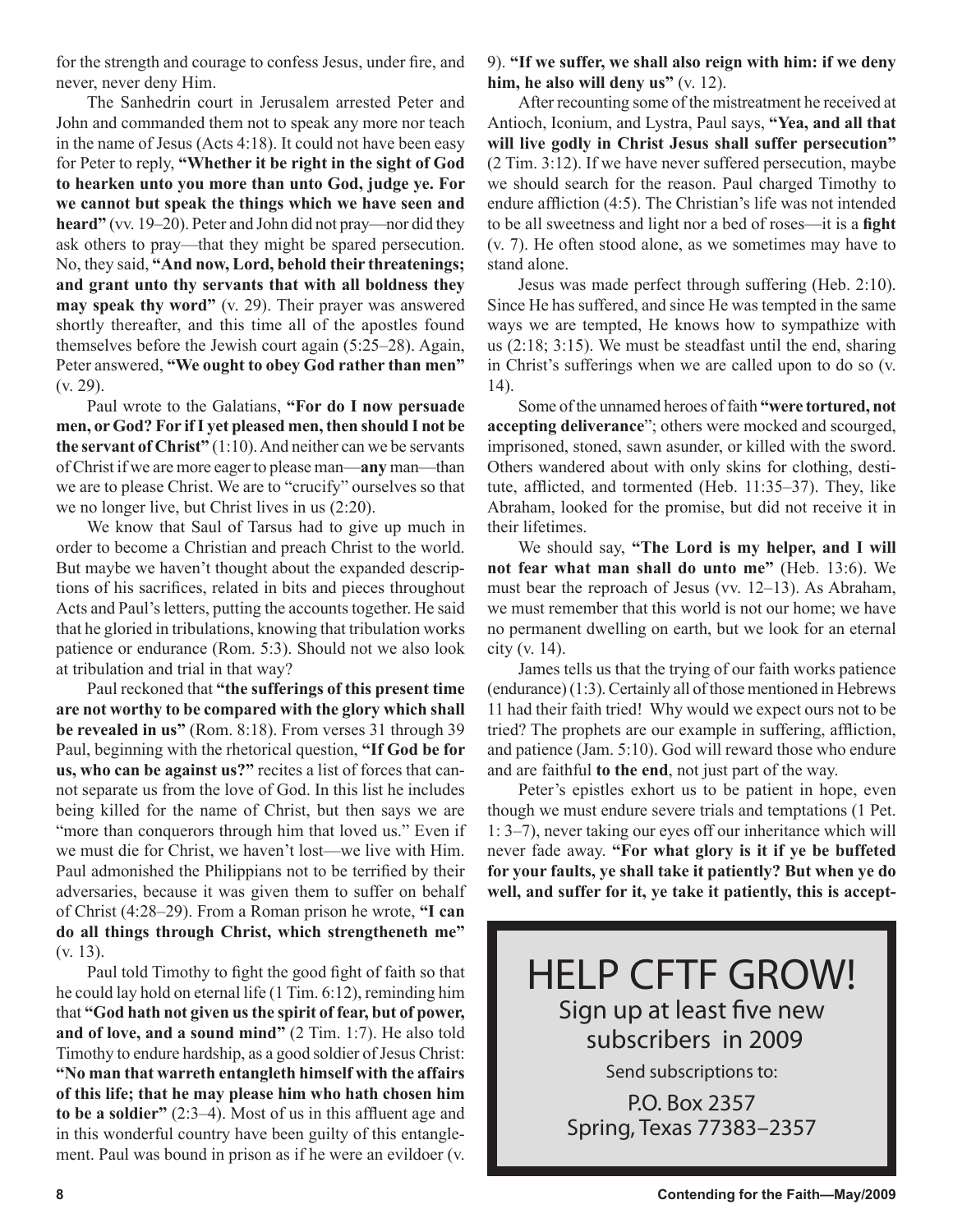for the strength and courage to confess Jesus, under fire, and never, never deny Him.

The Sanhedrin court in Jerusalem arrested Peter and John and commanded them not to speak any more nor teach in the name of Jesus (Acts 4:18). It could not have been easy for Peter to reply, **"Whether it be right in the sight of God to hearken unto you more than unto God, judge ye. For we cannot but speak the things which we have seen and heard"** (vv. 19–20). Peter and John did not pray—nor did they ask others to pray—that they might be spared persecution. No, they said, **"And now, Lord, behold their threatenings; and grant unto thy servants that with all boldness they may speak thy word"** (v. 29). Their prayer was answered shortly thereafter, and this time all of the apostles found themselves before the Jewish court again (5:25–28). Again, Peter answered, **"We ought to obey God rather than men"** (v. 29).

Paul wrote to the Galatians, **"For do I now persuade men, or God? For if I yet pleased men, then should I not be the servant of Christ"** (1:10). And neither can we be servants of Christ if we are more eager to please man—**any** man—than we are to please Christ. We are to "crucify" ourselves so that we no longer live, but Christ lives in us (2:20).

We know that Saul of Tarsus had to give up much in order to become a Christian and preach Christ to the world. But maybe we haven't thought about the expanded descriptions of his sacrifices, related in bits and pieces throughout Acts and Paul's letters, putting the accounts together. He said that he gloried in tribulations, knowing that tribulation works patience or endurance (Rom. 5:3). Should not we also look at tribulation and trial in that way?

Paul reckoned that **"the sufferings of this present time are not worthy to be compared with the glory which shall be revealed in us"** (Rom. 8:18). From verses 31 through 39 Paul, beginning with the rhetorical question, **"If God be for us, who can be against us?"** recites a list of forces that cannot separate us from the love of God. In this list he includes being killed for the name of Christ, but then says we are "more than conquerors through him that loved us." Even if we must die for Christ, we haven't lost—we live with Him. Paul admonished the Philippians not to be terrified by their adversaries, because it was given them to suffer on behalf of Christ (4:28–29). From a Roman prison he wrote, **"I can do all things through Christ, which strengtheneth me"** (v. 13).

Paul told Timothy to fight the good fight of faith so that he could lay hold on eternal life (1 Tim. 6:12), reminding him that **"God hath not given us the spirit of fear, but of power, and of love, and a sound mind"** (2 Tim. 1:7). He also told Timothy to endure hardship, as a good soldier of Jesus Christ: **"No man that warreth entangleth himself with the affairs of this life; that he may please him who hath chosen him to be a soldier"** (2:3–4). Most of us in this affluent age and in this wonderful country have been guilty of this entanglement. Paul was bound in prison as if he were an evildoer (v. 9). **"If we suffer, we shall also reign with him: if we deny him, he also will deny us"** (v. 12).

After recounting some of the mistreatment he received at Antioch, Iconium, and Lystra, Paul says, **"Yea, and all that will live godly in Christ Jesus shall suffer persecution"** (2 Tim. 3:12). If we have never suffered persecution, maybe we should search for the reason. Paul charged Timothy to endure affliction (4:5). The Christian's life was not intended to be all sweetness and light nor a bed of roses—it is a **fight**  (v. 7). He often stood alone, as we sometimes may have to stand alone.

Jesus was made perfect through suffering (Heb. 2:10). Since He has suffered, and since He was tempted in the same ways we are tempted, He knows how to sympathize with us (2:18; 3:15). We must be steadfast until the end, sharing in Christ's sufferings when we are called upon to do so (v. 14).

Some of the unnamed heroes of faith **"were tortured, not accepting deliverance**"; others were mocked and scourged, imprisoned, stoned, sawn asunder, or killed with the sword. Others wandered about with only skins for clothing, destitute, afflicted, and tormented (Heb. 11:35–37). They, like Abraham, looked for the promise, but did not receive it in their lifetimes.

We should say, **"The Lord is my helper, and I will not fear what man shall do unto me"** (Heb. 13:6). We must bear the reproach of Jesus (vv. 12–13). As Abraham, we must remember that this world is not our home; we have no permanent dwelling on earth, but we look for an eternal city (v. 14).

James tells us that the trying of our faith works patience (endurance) (1:3). Certainly all of those mentioned in Hebrews 11 had their faith tried! Why would we expect ours not to be tried? The prophets are our example in suffering, affliction, and patience (Jam. 5:10). God will reward those who endure and are faithful **to the end**, not just part of the way.

Peter's epistles exhort us to be patient in hope, even though we must endure severe trials and temptations (1 Pet. 1: 3–7), never taking our eyes off our inheritance which will never fade away. **"For what glory is it if ye be buffeted for your faults, ye shall take it patiently? But when ye do well, and suffer for it, ye take it patiently, this is accept-**

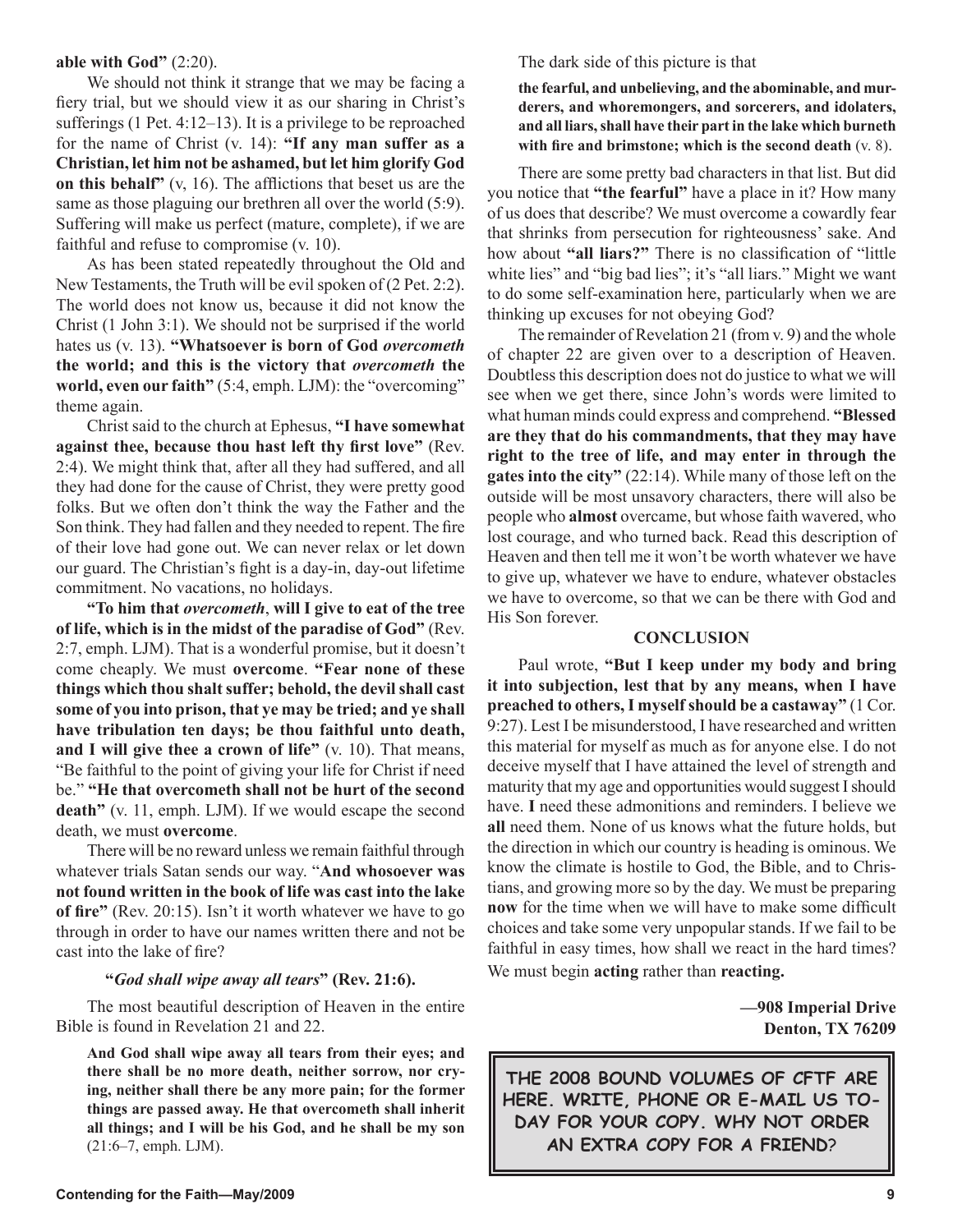### **able with God"** (2:20).

We should not think it strange that we may be facing a fiery trial, but we should view it as our sharing in Christ's sufferings (1 Pet. 4:12–13). It is a privilege to be reproached for the name of Christ (v. 14): **"If any man suffer as a Christian, let him not be ashamed, but let him glorify God on this behalf"** (v, 16). The afflictions that beset us are the same as those plaguing our brethren all over the world (5:9). Suffering will make us perfect (mature, complete), if we are faithful and refuse to compromise (v. 10).

As has been stated repeatedly throughout the Old and New Testaments, the Truth will be evil spoken of (2 Pet. 2:2). The world does not know us, because it did not know the Christ (1 John 3:1). We should not be surprised if the world hates us (v. 13). **"Whatsoever is born of God** *overcometh* **the world; and this is the victory that** *overcometh* **the world, even our faith"** (5:4, emph. LJM): the "overcoming" theme again.

Christ said to the church at Ephesus, **"I have somewhat against thee, because thou hast left thy first love"** (Rev. 2:4). We might think that, after all they had suffered, and all they had done for the cause of Christ, they were pretty good folks. But we often don't think the way the Father and the Son think. They had fallen and they needed to repent. The fire of their love had gone out. We can never relax or let down our guard. The Christian's fight is a day-in, day-out lifetime commitment. No vacations, no holidays.

**"To him that** *overcometh*, **will I give to eat of the tree of life, which is in the midst of the paradise of God"** (Rev. 2:7, emph. LJM). That is a wonderful promise, but it doesn't come cheaply. We must **overcome**. **"Fear none of these things which thou shalt suffer; behold, the devil shall cast some of you into prison, that ye may be tried; and ye shall have tribulation ten days; be thou faithful unto death, and I will give thee a crown of life"** (v. 10). That means, "Be faithful to the point of giving your life for Christ if need be." **"He that overcometh shall not be hurt of the second death"** (v. 11, emph. LJM). If we would escape the second death, we must **overcome**.

There will be no reward unless we remain faithful through whatever trials Satan sends our way. "**And whosoever was not found written in the book of life was cast into the lake of fire"** (Rev. 20:15). Isn't it worth whatever we have to go through in order to have our names written there and not be cast into the lake of fire?

### **"***God shall wipe away all tears***" (Rev. 21:6).**

The most beautiful description of Heaven in the entire Bible is found in Revelation 21 and 22.

**And God shall wipe away all tears from their eyes; and there shall be no more death, neither sorrow, nor crying, neither shall there be any more pain; for the former things are passed away. He that overcometh shall inherit all things; and I will be his God, and he shall be my son** (21:6–7, emph. LJM).

The dark side of this picture is that

**the fearful, and unbelieving, and the abominable, and murderers, and whoremongers, and sorcerers, and idolaters, and all liars, shall have their part in the lake which burneth with fire and brimstone; which is the second death** (v. 8).

There are some pretty bad characters in that list. But did you notice that **"the fearful"** have a place in it? How many of us does that describe? We must overcome a cowardly fear that shrinks from persecution for righteousness' sake. And how about **"all liars?"** There is no classification of "little white lies" and "big bad lies"; it's "all liars." Might we want to do some self-examination here, particularly when we are thinking up excuses for not obeying God?

The remainder of Revelation 21 (from v. 9) and the whole of chapter 22 are given over to a description of Heaven. Doubtless this description does not do justice to what we will see when we get there, since John's words were limited to what human minds could express and comprehend. **"Blessed are they that do his commandments, that they may have right to the tree of life, and may enter in through the gates into the city"** (22:14). While many of those left on the outside will be most unsavory characters, there will also be people who **almost** overcame, but whose faith wavered, who lost courage, and who turned back. Read this description of Heaven and then tell me it won't be worth whatever we have to give up, whatever we have to endure, whatever obstacles we have to overcome, so that we can be there with God and His Son forever.

#### **CONCLUSION**

Paul wrote, **"But I keep under my body and bring it into subjection, lest that by any means, when I have preached to others, I myself should be a castaway"** (1 Cor. 9:27). Lest I be misunderstood, I have researched and written this material for myself as much as for anyone else. I do not deceive myself that I have attained the level of strength and maturity that my age and opportunities would suggest I should have. **I** need these admonitions and reminders. I believe we **all** need them. None of us knows what the future holds, but the direction in which our country is heading is ominous. We know the climate is hostile to God, the Bible, and to Christians, and growing more so by the day. We must be preparing **now** for the time when we will have to make some difficult choices and take some very unpopular stands. If we fail to be faithful in easy times, how shall we react in the hard times? We must begin **acting** rather than **reacting.**

> **—908 Imperial Drive Denton, TX 76209**

**THE 2008 BOUND VOLUMES OF CFTF ARE HERE. WRITE, PHONE OR E-MAIL US TO-DAY FOR YOUR COPY. WHY NOT ORDER AN EXTRA COPY FOR A FRIEND**?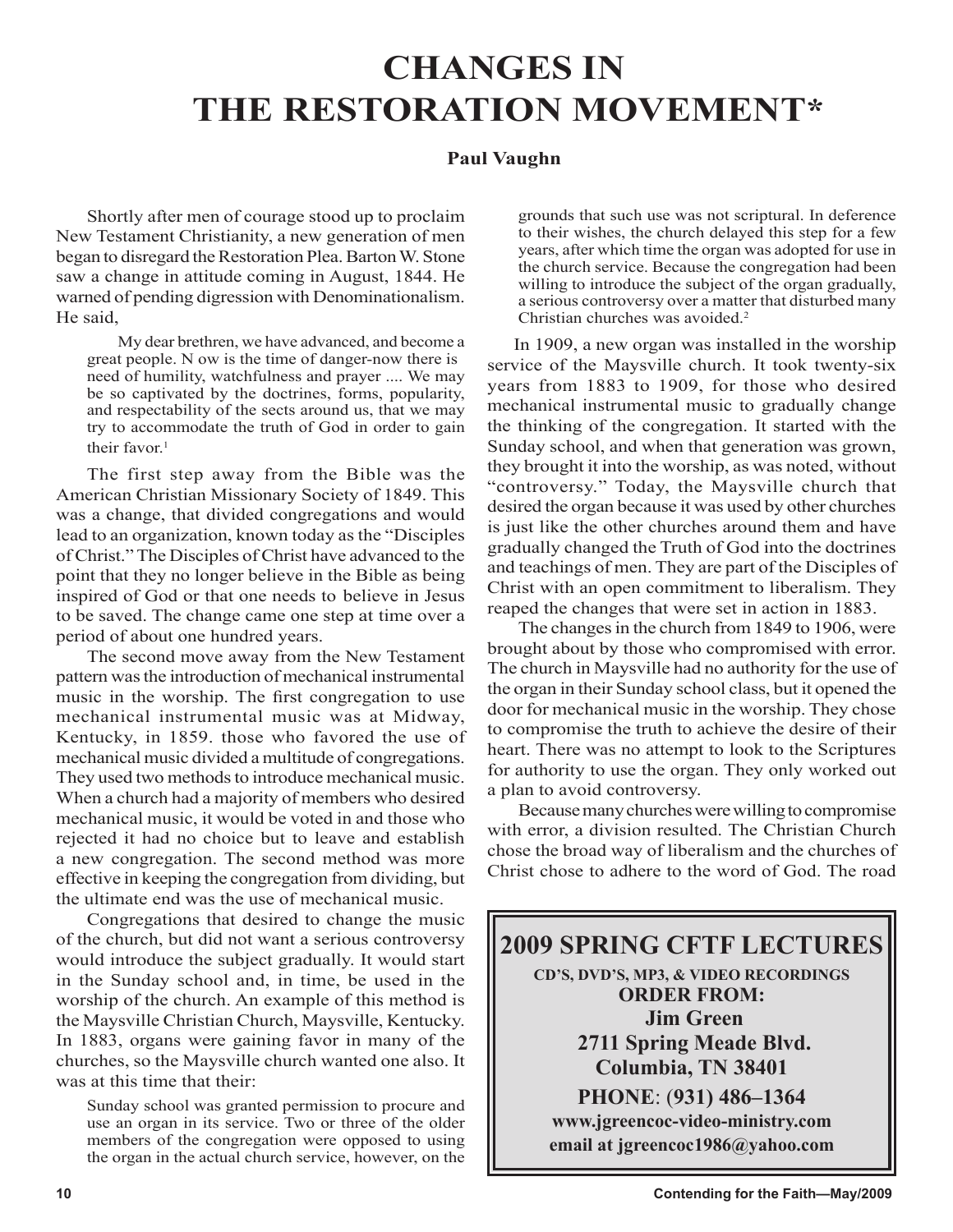# **CHANGES IN THE RESTORATION MOVEMENT\***

# **Paul Vaughn**

Shortly after men of courage stood up to proclaim New Testament Christianity, a new generation of men began to disregard the Restoration Plea. Barton W. Stone saw a change in attitude coming in August, 1844. He warned of pending digression with Denominationalism. He said,

My dear brethren, we have advanced, and become a great people. N ow is the time of danger-now there is need of humility, watchfulness and prayer .... We may be so captivated by the doctrines, forms, popularity, and respectability of the sects around us, that we may try to accommodate the truth of God in order to gain their favor. $1$ 

The first step away from the Bible was the American Christian Missionary Society of 1849. This was a change, that divided congregations and would lead to an organization, known today as the "Disciples of Christ." The Disciples of Christ have advanced to the point that they no longer believe in the Bible as being inspired of God or that one needs to believe in Jesus to be saved. The change came one step at time over a period of about one hundred years.

The second move away from the New Testament pattern was the introduction of mechanical instrumental music in the worship. The first congregation to use mechanical instrumental music was at Midway, Kentucky, in 1859. those who favored the use of mechanical music divided a multitude of congregations. They used two methods to introduce mechanical music. When a church had a majority of members who desired mechanical music, it would be voted in and those who rejected it had no choice but to leave and establish a new congregation. The second method was more effective in keeping the congregation from dividing, but the ultimate end was the use of mechanical music.

Congregations that desired to change the music of the church, but did not want a serious controversy would introduce the subject gradually. It would start in the Sunday school and, in time, be used in the worship of the church. An example of this method is the Maysville Christian Church, Maysville, Kentucky. In 1883, organs were gaining favor in many of the churches, so the Maysville church wanted one also. It was at this time that their:

Sunday school was granted permission to procure and use an organ in its service. Two or three of the older members of the congregation were opposed to using the organ in the actual church service, however, on the

grounds that such use was not scriptural. In deference to their wishes, the church delayed this step for a few years, after which time the organ was adopted for use in the church service. Because the congregation had been willing to introduce the subject of the organ gradually, a serious controversy over a matter that disturbed many Christian churches was avoided.2

In 1909, a new organ was installed in the worship service of the Maysville church. It took twenty-six years from 1883 to 1909, for those who desired mechanical instrumental music to gradually change the thinking of the congregation. It started with the Sunday school, and when that generation was grown, they brought it into the worship, as was noted, without "controversy." Today, the Maysville church that desired the organ because it was used by other churches is just like the other churches around them and have gradually changed the Truth of God into the doctrines and teachings of men. They are part of the Disciples of Christ with an open commitment to liberalism. They reaped the changes that were set in action in 1883.

The changes in the church from 1849 to 1906, were brought about by those who compromised with error. The church in Maysville had no authority for the use of the organ in their Sunday school class, but it opened the door for mechanical music in the worship. They chose to compromise the truth to achieve the desire of their heart. There was no attempt to look to the Scriptures for authority to use the organ. They only worked out a plan to avoid controversy.

Because many churches were willing to compromise with error, a division resulted. The Christian Church chose the broad way of liberalism and the churches of Christ chose to adhere to the word of God. The road

# **2009 SPRING CFTF LECTURES**

**CD'S, DVD'S, MP3, & VIDEO RECORDINGS ORDER FROM: Jim Green 2711 Spring Meade Blvd. Columbia, TN 38401**

**PHONE**: (**931) 486–1364 www.jgreencoc-video-ministry.com email at jgreencoc1986@yahoo.com**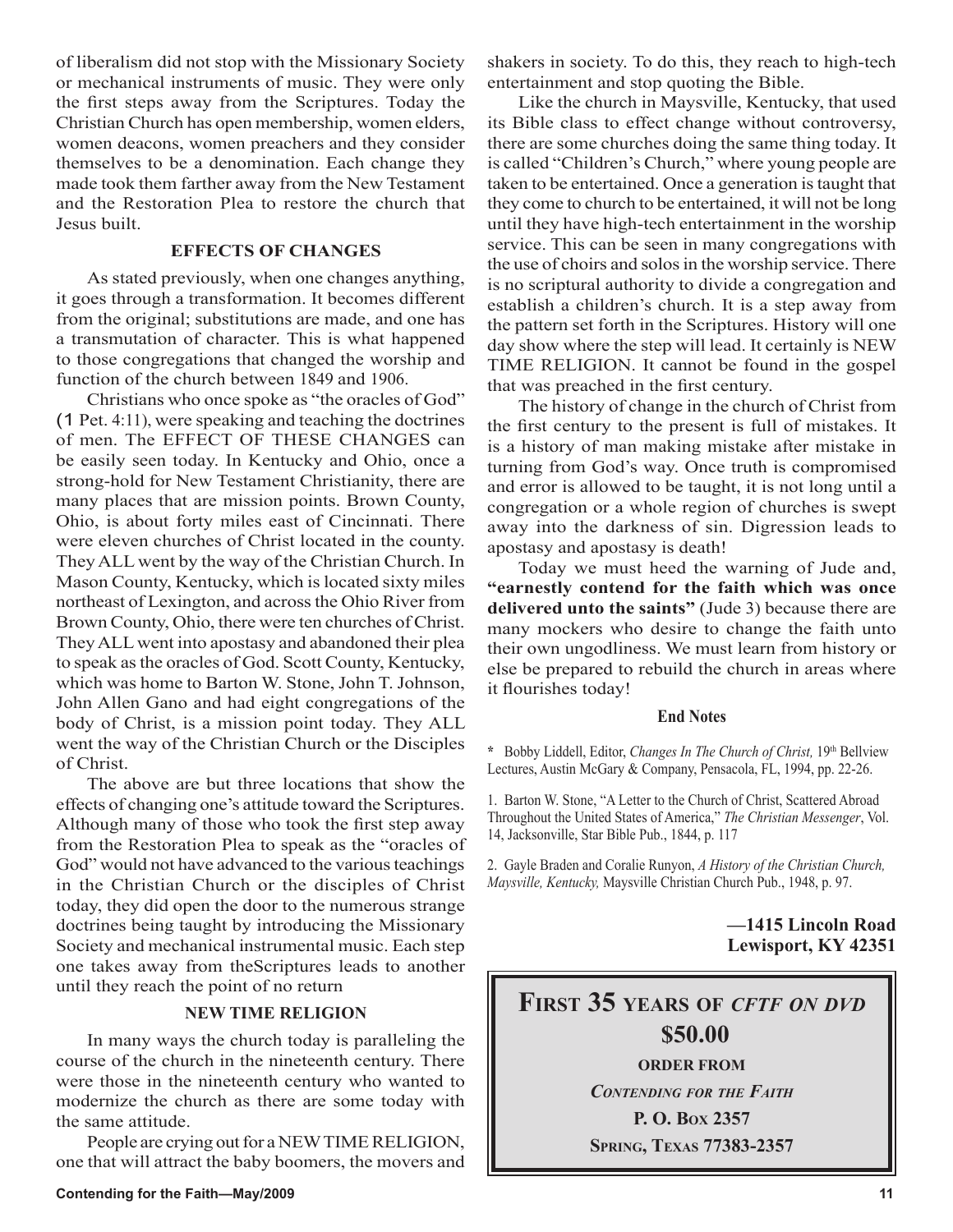of liberalism did not stop with the Missionary Society or mechanical instruments of music. They were only the first steps away from the Scriptures. Today the Christian Church has open membership, women elders, women deacons, women preachers and they consider themselves to be a denomination. Each change they made took them farther away from the New Testament and the Restoration Plea to restore the church that Jesus built.

### **EFFECTS OF CHANGES**

As stated previously, when one changes anything, it goes through a transformation. It becomes different from the original; substitutions are made, and one has a transmutation of character. This is what happened to those congregations that changed the worship and function of the church between 1849 and 1906.

Christians who once spoke as "the oracles of God" (1 Pet. 4:11), were speaking and teaching the doctrines of men. The EFFECT OF THESE CHANGES can be easily seen today. In Kentucky and Ohio, once a strong-hold for New Testament Christianity, there are many places that are mission points. Brown County, Ohio, is about forty miles east of Cincinnati. There were eleven churches of Christ located in the county. They ALL went by the way of the Christian Church. In Mason County, Kentucky, which is located sixty miles northeast of Lexington, and across the Ohio River from Brown County, Ohio, there were ten churches of Christ. They ALL went into apostasy and abandoned their plea to speak as the oracles of God. Scott County, Kentucky, which was home to Barton W. Stone, John T. Johnson, John Allen Gano and had eight congregations of the body of Christ, is a mission point today. They ALL went the way of the Christian Church or the Disciples of Christ.

The above are but three locations that show the effects of changing one's attitude toward the Scriptures. Although many of those who took the first step away from the Restoration Plea to speak as the "oracles of God" would not have advanced to the various teachings in the Christian Church or the disciples of Christ today, they did open the door to the numerous strange doctrines being taught by introducing the Missionary Society and mechanical instrumental music. Each step one takes away from theScriptures leads to another until they reach the point of no return

# **NEW TIME RELIGION**

In many ways the church today is paralleling the course of the church in the nineteenth century. There were those in the nineteenth century who wanted to modernize the church as there are some today with the same attitude.

People are crying out for a NEW TIME RELIGION, one that will attract the baby boomers, the movers and shakers in society. To do this, they reach to high-tech entertainment and stop quoting the Bible.

Like the church in Maysville, Kentucky, that used its Bible class to effect change without controversy, there are some churches doing the same thing today. It is called "Children's Church," where young people are taken to be entertained. Once a generation is taught that they come to church to be entertained, it will not be long until they have high-tech entertainment in the worship service. This can be seen in many congregations with the use of choirs and solos in the worship service. There is no scriptural authority to divide a congregation and establish a children's church. It is a step away from the pattern set forth in the Scriptures. History will one day show where the step will lead. It certainly is NEW TIME RELIGION. It cannot be found in the gospel that was preached in the first century.

The history of change in the church of Christ from the first century to the present is full of mistakes. It is a history of man making mistake after mistake in turning from God's way. Once truth is compromised and error is allowed to be taught, it is not long until a congregation or a whole region of churches is swept away into the darkness of sin. Digression leads to apostasy and apostasy is death!

Today we must heed the warning of Jude and, **"earnestly contend for the faith which was once delivered unto the saints"** (Jude 3) because there are many mockers who desire to change the faith unto their own ungodliness. We must learn from history or else be prepared to rebuild the church in areas where it flourishes today!

### **End Notes**

**\*** Bobby Liddell, Editor, *Changes In The Church of Christ,* 19th Bellview Lectures, Austin McGary & Company, Pensacola, FL, 1994, pp. 22-26.

1. Barton W. Stone, "A Letter to the Church of Christ, Scattered Abroad Throughout the United States of America," *The Christian Messenger*, Vol. 14, Jacksonville, Star Bible Pub., 1844, p. 117

2. Gayle Braden and Coralie Runyon, *A History of the Christian Church, Maysville, Kentucky,* Maysville Christian Church Pub., 1948, p. 97.

# **—1415 Lincoln Road Lewisport, KY 42351**

# **FIRST 35 YEARS OF** *CFTF ON DVD* **\$50.00 ORDER FROM** *CONTENDING FOR THE FAITH* **P. O. BOX 2357**

**SPRING, TEXAS 77383-2357**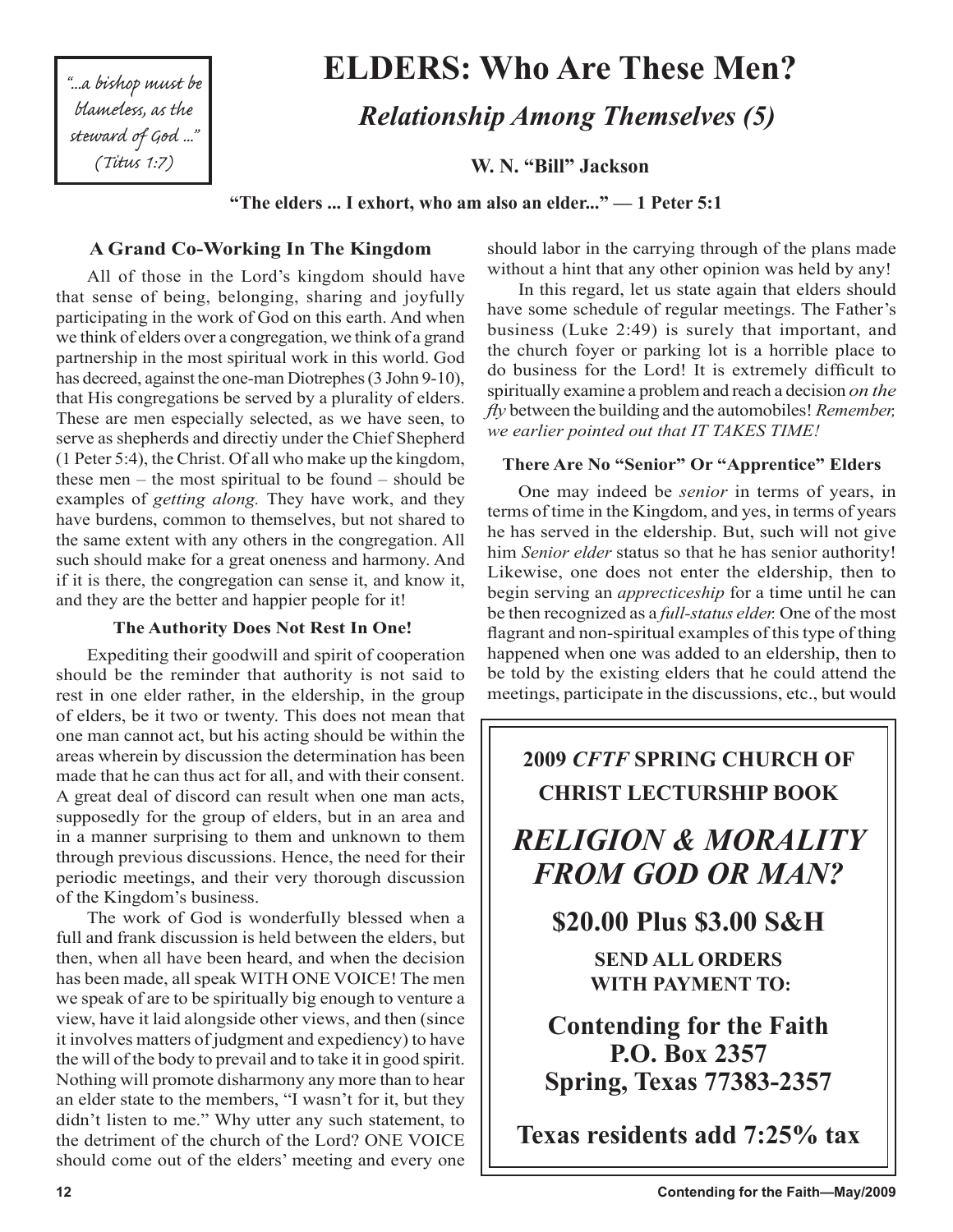"...a bishop must be blameless, as the steward of God ..." (Titus 1:7)

# **ELDERS: Who Are These Men?**

**W. N. "Bill" Jackson** 

 *Relationship Among Themselves (5)*

**"The elders ... I exhort, who am also an elder..." — 1 Peter 5:1**

# **A Grand Co-Working In The Kingdom**

All of those in the Lord's kingdom should have that sense of being, belonging, sharing and joyfully participating in the work of God on this earth. And when we think of elders over a congregation, we think of a grand partnership in the most spiritual work in this world. God has decreed, against the one-man Diotrephes (3 John 9-10), that His congregations be served by a plurality of elders. These are men especially selected, as we have seen, to serve as shepherds and directiy under the Chief Shepherd (1 Peter 5:4), the Christ. Of all who make up the kingdom, these men – the most spiritual to be found – should be examples of *getting along.* They have work, and they have burdens, common to themselves, but not shared to the same extent with any others in the congregation. All such should make for a great oneness and harmony. And if it is there, the congregation can sense it, and know it, and they are the better and happier people for it!

# **The Authority Does Not Rest In One!**

Expediting their goodwill and spirit of cooperation should be the reminder that authority is not said to rest in one elder rather, in the eldership, in the group of elders, be it two or twenty. This does not mean that one man cannot act, but his acting should be within the areas wherein by discussion the determination has been made that he can thus act for all, and with their consent. A great deal of discord can result when one man acts, supposedly for the group of elders, but in an area and in a manner surprising to them and unknown to them through previous discussions. Hence, the need for their periodic meetings, and their very thorough discussion of the Kingdom's business.

The work of God is wonderfuIly blessed when a full and frank discussion is held between the elders, but then, when all have been heard, and when the decision has been made, all speak WITH ONE VOICE! The men we speak of are to be spiritually big enough to venture a view, have it laid alongside other views, and then (since it involves matters of judgment and expediency) to have the will of the body to prevail and to take it in good spirit. Nothing will promote disharmony any more than to hear an elder state to the members, "I wasn't for it, but they didn't listen to me." Why utter any such statement, to the detriment of the church of the Lord? ONE VOICE should come out of the elders' meeting and every one

should labor in the carrying through of the plans made without a hint that any other opinion was held by any!

In this regard, let us state again that elders should have some schedule of regular meetings. The Father's business (Luke 2:49) is surely that important, and the church foyer or parking lot is a horrible place to do business for the Lord! It is extremely difficult to spiritually examine a problem and reach a decision *on the fly* between the building and the automobiles! *Remember, we earlier pointed out that IT TAKES TIME!*

# **There Are No "Senior" Or "Apprentice" Elders**

One may indeed be *senior* in terms of years, in terms of time in the Kingdom, and yes, in terms of years he has served in the eldership. But, such will not give him *Senior elder* status so that he has senior authority! Likewise, one does not enter the eldership, then to begin serving an *apprecticeship* for a time until he can be then recognized as a *full-status elder.* One of the most flagrant and non-spiritual examples of this type of thing happened when one was added to an eldership, then to be told by the existing elders that he could attend the meetings, participate in the discussions, etc., but would

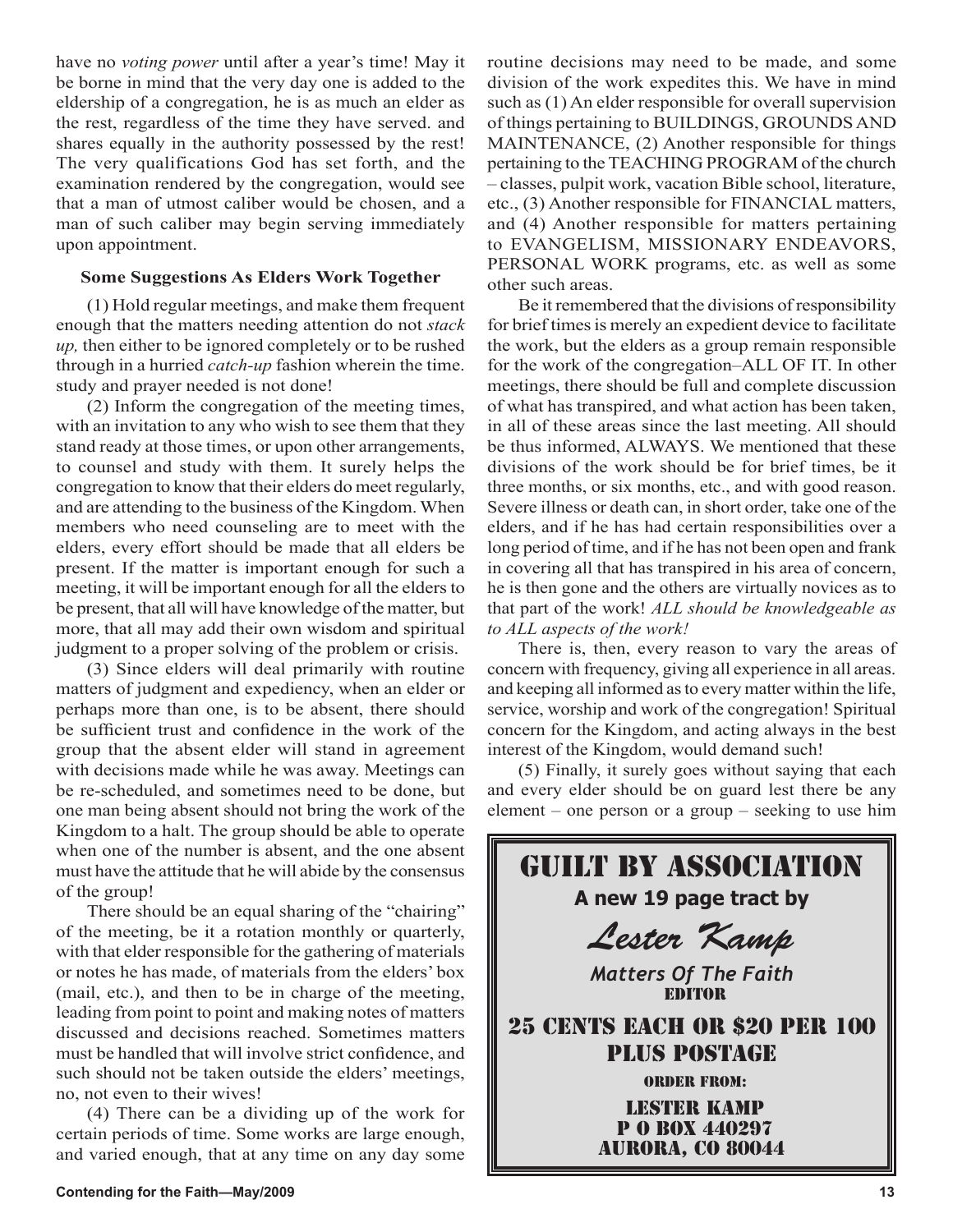have no *voting power* until after a year's time! May it be borne in mind that the very day one is added to the eldership of a congregation, he is as much an elder as the rest, regardless of the time they have served. and shares equally in the authority possessed by the rest! The very qualifications God has set forth, and the examination rendered by the congregation, would see that a man of utmost caliber would be chosen, and a man of such caliber may begin serving immediately upon appointment.

# **Some Suggestions As Elders Work Together**

(1) Hold regular meetings, and make them frequent enough that the matters needing attention do not *stack up,* then either to be ignored completely or to be rushed through in a hurried *catch-up* fashion wherein the time. study and prayer needed is not done!

(2) Inform the congregation of the meeting times, with an invitation to any who wish to see them that they stand ready at those times, or upon other arrangements, to counsel and study with them. It surely helps the congregation to know that their elders do meet regularly, and are attending to the business of the Kingdom. When members who need counseling are to meet with the elders, every effort should be made that all elders be present. If the matter is important enough for such a meeting, it will be important enough for all the elders to be present, that all will have knowledge of the matter, but more, that all may add their own wisdom and spiritual judgment to a proper solving of the problem or crisis.

(3) Since elders will deal primarily with routine matters of judgment and expediency, when an elder or perhaps more than one, is to be absent, there should be sufficient trust and confidence in the work of the group that the absent elder will stand in agreement with decisions made while he was away. Meetings can be re-scheduled, and sometimes need to be done, but one man being absent should not bring the work of the Kingdom to a halt. The group should be able to operate when one of the number is absent, and the one absent must have the attitude that he will abide by the consensus of the group!

There should be an equal sharing of the "chairing" of the meeting, be it a rotation monthly or quarterly, with that elder responsible for the gathering of materials or notes he has made, of materials from the elders' box (mail, etc.), and then to be in charge of the meeting, leading from point to point and making notes of matters discussed and decisions reached. Sometimes matters must be handled that will involve strict confidence, and such should not be taken outside the elders' meetings, no, not even to their wives!

(4) There can be a dividing up of the work for certain periods of time. Some works are large enough, and varied enough, that at any time on any day some routine decisions may need to be made, and some division of the work expedites this. We have in mind such as (1) An elder responsible for overall supervision of things pertaining to BUILDINGS, GROUNDS AND MAINTENANCE, (2) Another responsible for things pertaining to the TEACHING PROGRAM of the church – classes, pulpit work, vacation Bible school, literature, etc., (3) Another responsible for FINANCIAL matters, and (4) Another responsible for matters pertaining to EVANGELISM, MISSIONARY ENDEAVORS, PERSONAL WORK programs, etc. as well as some other such areas.

Be it remembered that the divisions of responsibility for brief times is merely an expedient device to facilitate the work, but the elders as a group remain responsible for the work of the congregation–ALL OF IT. In other meetings, there should be full and complete discussion of what has transpired, and what action has been taken, in all of these areas since the last meeting. All should be thus informed, ALWAYS. We mentioned that these divisions of the work should be for brief times, be it three months, or six months, etc., and with good reason. Severe illness or death can, in short order, take one of the elders, and if he has had certain responsibilities over a long period of time, and if he has not been open and frank in covering all that has transpired in his area of concern, he is then gone and the others are virtually novices as to that part of the work! *ALL should be knowledgeable as to ALL aspects of the work!*

There is, then, every reason to vary the areas of concern with frequency, giving all experience in all areas. and keeping all informed as to every matter within the life, service, worship and work of the congregation! Spiritual concern for the Kingdom, and acting always in the best interest of the Kingdom, would demand such!

(5) Finally, it surely goes without saying that each and every elder should be on guard lest there be any element – one person or a group – seeking to use him

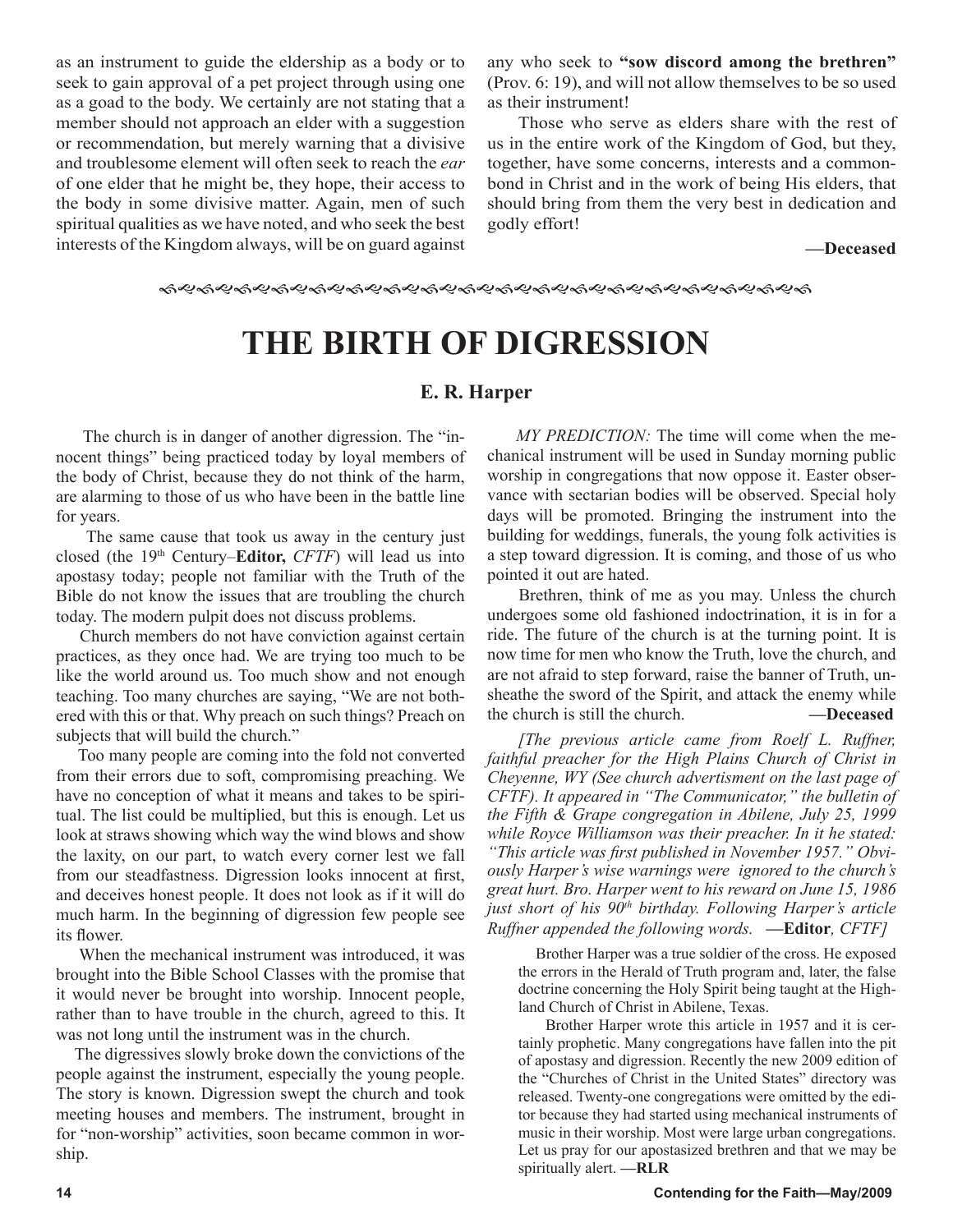as an instrument to guide the eldership as a body or to seek to gain approval of a pet project through using one as a goad to the body. We certainly are not stating that a member should not approach an elder with a suggestion or recommendation, but merely warning that a divisive and troublesome element will often seek to reach the *ear*  of one elder that he might be, they hope, their access to the body in some divisive matter. Again, men of such spiritual qualities as we have noted, and who seek the best interests of the Kingdom always, will be on guard against any who seek to **"sow discord among the brethren"** (Prov. 6: 19), and will not allow themselves to be so used as their instrument!

Those who serve as elders share with the rest of us in the entire work of the Kingdom of God, but they, together, have some concerns, interests and a commonbond in Christ and in the work of being His elders, that should bring from them the very best in dedication and godly effort!

**—Deceased**

# **THE BIRTH OF DIGRESSION**

# **E. R. Harper**

 The church is in danger of another digression. The "innocent things" being practiced today by loyal members of the body of Christ, because they do not think of the harm, are alarming to those of us who have been in the battle line for years.

 The same cause that took us away in the century just closed (the 19th Century–**Editor,** *CFTF*) will lead us into apostasy today; people not familiar with the Truth of the Bible do not know the issues that are troubling the church today. The modern pulpit does not discuss problems.

 Church members do not have conviction against certain practices, as they once had. We are trying too much to be like the world around us. Too much show and not enough teaching. Too many churches are saying, "We are not bothered with this or that. Why preach on such things? Preach on subjects that will build the church."

 Too many people are coming into the fold not converted from their errors due to soft, compromising preaching. We have no conception of what it means and takes to be spiritual. The list could be multiplied, but this is enough. Let us look at straws showing which way the wind blows and show the laxity, on our part, to watch every corner lest we fall from our steadfastness. Digression looks innocent at first, and deceives honest people. It does not look as if it will do much harm. In the beginning of digression few people see its flower.

 When the mechanical instrument was introduced, it was brought into the Bible School Classes with the promise that it would never be brought into worship. Innocent people, rather than to have trouble in the church, agreed to this. It was not long until the instrument was in the church.

 The digressives slowly broke down the convictions of the people against the instrument, especially the young people. The story is known. Digression swept the church and took meeting houses and members. The instrument, brought in for "non-worship" activities, soon became common in worship.

 *MY PREDICTION:* The time will come when the mechanical instrument will be used in Sunday morning public worship in congregations that now oppose it. Easter observance with sectarian bodies will be observed. Special holy days will be promoted. Bringing the instrument into the building for weddings, funerals, the young folk activities is a step toward digression. It is coming, and those of us who pointed it out are hated.

 Brethren, think of me as you may. Unless the church undergoes some old fashioned indoctrination, it is in for a ride. The future of the church is at the turning point. It is now time for men who know the Truth, love the church, and are not afraid to step forward, raise the banner of Truth, unsheathe the sword of the Spirit, and attack the enemy while the church is still the church. **—Deceased**

*[The previous article came from Roelf L. Ruffner, faithful preacher for the High Plains Church of Christ in Cheyenne, WY (See church advertisment on the last page of CFTF). It appeared in "The Communicator," the bulletin of the Fifth & Grape congregation in Abilene, July 25, 1999 while Royce Williamson was their preacher. In it he stated: "This article was first published in November 1957." Obviously Harper's wise warnings were ignored to the church's great hurt. Bro. Harper went to his reward on June 15, 1986 just short of his 90th birthday. Following Harper's article Ruffner appended the following words.* **—Editor***, CFTF]*

 Brother Harper was a true soldier of the cross. He exposed the errors in the Herald of Truth program and, later, the false doctrine concerning the Holy Spirit being taught at the Highland Church of Christ in Abilene, Texas.

 Brother Harper wrote this article in 1957 and it is certainly prophetic. Many congregations have fallen into the pit of apostasy and digression. Recently the new 2009 edition of the "Churches of Christ in the United States" directory was released. Twenty-one congregations were omitted by the editor because they had started using mechanical instruments of music in their worship. Most were large urban congregations. Let us pray for our apostasized brethren and that we may be spiritually alert. **—RLR**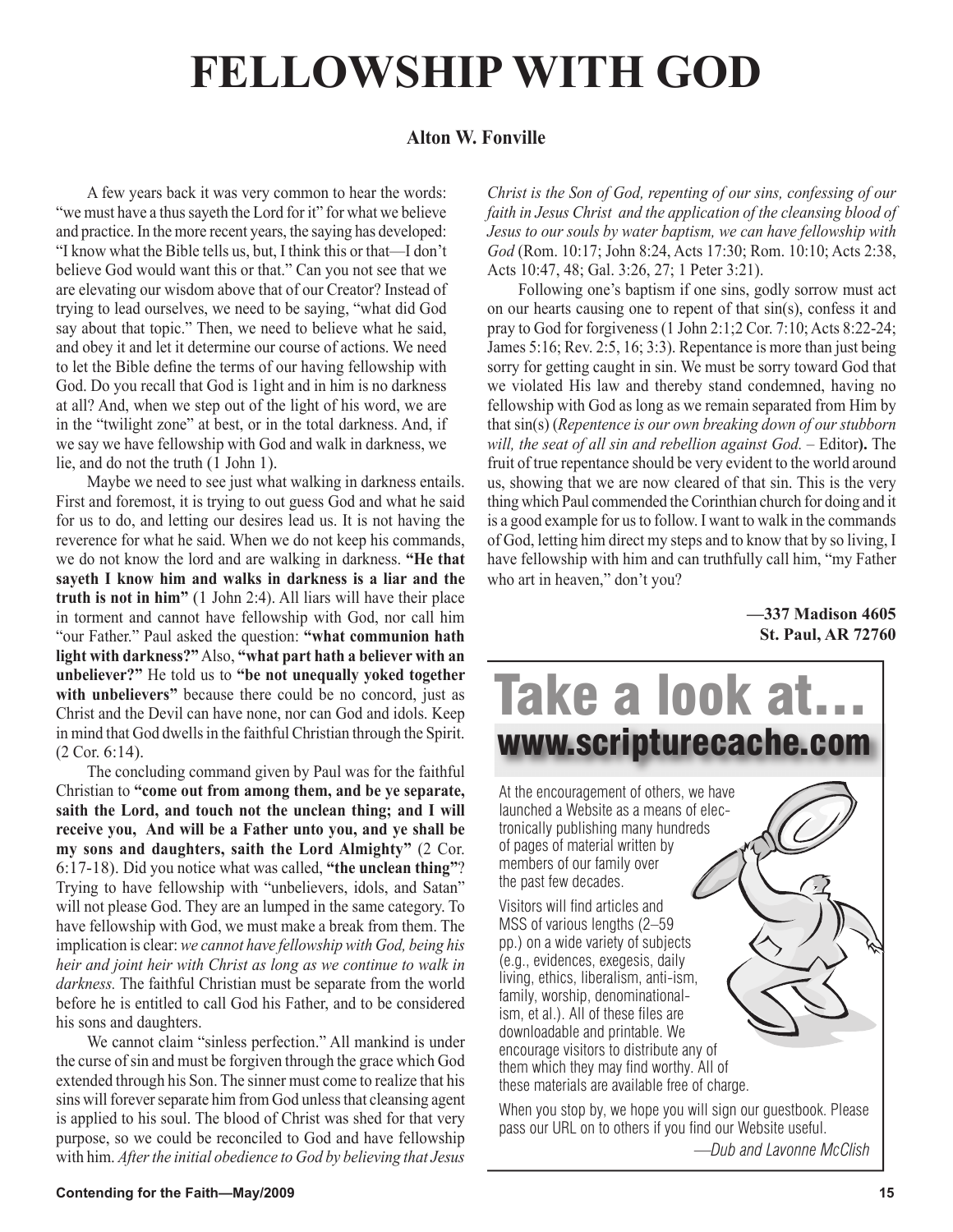# **FELLOWSHIP WITH GOD**

# **Alton W. Fonville**

A few years back it was very common to hear the words: "we must have a thus sayeth the Lord for it" for what we believe and practice. In the more recent years, the saying has developed: "I know what the Bible tells us, but, I think this or that—I don't believe God would want this or that." Can you not see that we are elevating our wisdom above that of our Creator? Instead of trying to lead ourselves, we need to be saying, "what did God say about that topic." Then, we need to believe what he said, and obey it and let it determine our course of actions. We need to let the Bible define the terms of our having fellowship with God. Do you recall that God is 1ight and in him is no darkness at all? And, when we step out of the light of his word, we are in the "twilight zone" at best, or in the total darkness. And, if we say we have fellowship with God and walk in darkness, we lie, and do not the truth (1 John 1).

Maybe we need to see just what walking in darkness entails. First and foremost, it is trying to out guess God and what he said for us to do, and letting our desires lead us. It is not having the reverence for what he said. When we do not keep his commands, we do not know the lord and are walking in darkness. **"He that sayeth I know him and walks in darkness is a liar and the truth is not in him"** (1 John 2:4). All liars will have their place in torment and cannot have fellowship with God, nor call him "our Father." Paul asked the question: **"what communion hath light with darkness?"** Also, **"what part hath a believer with an unbeliever?"** He told us to **"be not unequally yoked together**  with unbelievers" because there could be no concord, just as Christ and the Devil can have none, nor can God and idols. Keep in mind that God dwells in the faithful Christian through the Spirit. (2 Cor. 6:14).

The concluding command given by Paul was for the faithful Christian to **"come out from among them, and be ye separate, saith the Lord, and touch not the unclean thing; and I will receive you, And will be a Father unto you, and ye shall be my sons and daughters, saith the Lord Almighty"** (2 Cor. 6:17-18). Did you notice what was called, **"the unclean thing"**? Trying to have fellowship with "unbelievers, idols, and Satan" will not please God. They are an lumped in the same category. To have fellowship with God, we must make a break from them. The implication is clear: *we cannot have fellowship with God, being his heir and joint heir with Christ as long as we continue to walk in darkness.* The faithful Christian must be separate from the world before he is entitled to call God his Father, and to be considered his sons and daughters.

We cannot claim "sinless perfection." All mankind is under the curse of sin and must be forgiven through the grace which God extended through his Son. The sinner must come to realize that his sins will forever separate him from God unless that cleansing agent is applied to his soul. The blood of Christ was shed for that very purpose, so we could be reconciled to God and have fellowship with him. *After the initial obedience to God by believing that Jesus* 

*Christ is the Son of God, repenting of our sins, confessing of our faith in Jesus Christ and the application of the cleansing blood of Jesus to our souls by water baptism, we can have fellowship with God* (Rom. 10:17; John 8:24, Acts 17:30; Rom. 10:10; Acts 2:38, Acts 10:47, 48; Gal. 3:26, 27; 1 Peter 3:21).

Following one's baptism if one sins, godly sorrow must act on our hearts causing one to repent of that sin(s), confess it and pray to God for forgiveness (1 John 2:1;2 Cor. 7:10; Acts 8:22-24; James 5:16; Rev. 2:5, 16; 3:3). Repentance is more than just being sorry for getting caught in sin. We must be sorry toward God that we violated His law and thereby stand condemned, having no fellowship with God as long as we remain separated from Him by that sin(s) (*Repentence is our own breaking down of our stubborn will, the seat of all sin and rebellion against God.* – Editor**).** The fruit of true repentance should be very evident to the world around us, showing that we are now cleared of that sin. This is the very thing which Paul commended the Corinthian church for doing and it is a good example for us to follow. I want to walk in the commands of God, letting him direct my steps and to know that by so living, I have fellowship with him and can truthfully call him, "my Father who art in heaven," don't you?

> **—337 Madison 4605 St. Paul, AR 72760**



pass our URL on to others if you find our Website useful. *—Dub and Lavonne McClish*